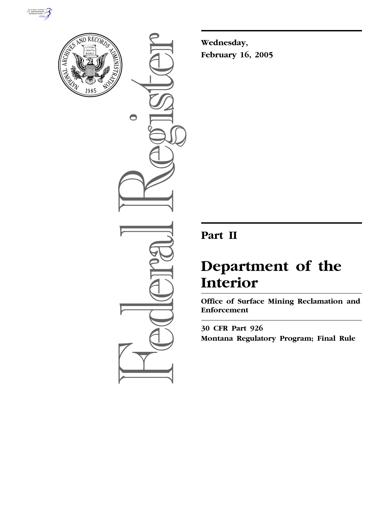



 $\bigcirc$ 

**Wednesday, February 16, 2005**

# **Part II**

# **Department of the Interior**

**Office of Surface Mining Reclamation and Enforcement** 

**30 CFR Part 926 Montana Regulatory Program; Final Rule**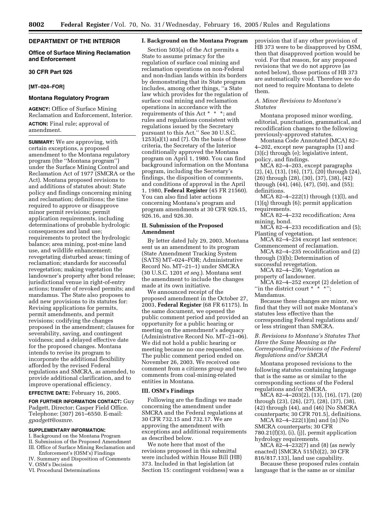## **DEPARTMENT OF THE INTERIOR**

#### **Office of Surface Mining Reclamation and Enforcement**

#### **30 CFR Part 926**

#### **[MT–024–FOR]**

#### **Montana Regulatory Program**

**AGENCY:** Office of Surface Mining Reclamation and Enforcement, Interior. **ACTION:** Final rule; approval of amendment.

**SUMMARY:** We are approving, with certain exceptions, a proposed amendment to the Montana regulatory program (the ''Montana program'') under the Surface Mining Control and Reclamation Act of 1977 (SMCRA or the Act). Montana proposed revisions to and additions of statutes about: State policy and findings concerning mining and reclamation; definitions; the time required to approve or disapprove minor permit revisions; permit application requirements, including determinations of probable hydrologic consequences and land use; requirements to protect the hydrologic balance; area mining, post-mine land use, and wildlife enhancement; revegetating disturbed areas; timing of reclamation; standards for successful revegetation; making vegetation the landowner's property after bond release; jurisdictional venue in right-of-entry actions; transfer of revoked permits; and mandamus. The State also proposes to add new provisions to its statutes for: Revising applications for permits, permit amendments, and permit revisions; codifying the changes proposed in the amendment; clauses for severability, saving, and contingent voidness; and a delayed effective date for the proposed changes. Montana intends to revise its program to incorporate the additional flexibility afforded by the revised Federal regulations and SMCRA, as amended, to provide additional clarification, and to improve operational efficiency.

**EFFECTIVE DATE:** February 16, 2005.

**FOR FURTHER INFORMATION CONTACT:** Guy Padgett, Director; Casper Field Office. Telephone: (307) 261–6550. E-mail: *gpadgett@osmre.*

#### **SUPPLEMENTARY INFORMATION:**

I. Background on the Montana Program II. Submission of the Proposed Amendment

III. Office of Surface Mining Reclamation and Enforcement's (OSM's) Findings

IV. Summary and Disposition of Comments V. OSM's Decision

VI. Procedural Determinations

# **I. Background on the Montana Program**

Section 503(a) of the Act permits a State to assume primacy for the regulation of surface coal mining and reclamation operations on non-Federal and non-Indian lands within its borders by demonstrating that its State program includes, among other things, ''a State law which provides for the regulation of surface coal mining and reclamation operations in accordance with the requirements of this Act \* \* \*; and rules and regulations consistent with regulations issued by the Secretary pursuant to this Act.'' See 30 U.S.C.  $1253(a)(1)$  and  $(7)$ . On the basis of these criteria, the Secretary of the Interior conditionally approved the Montana program on April 1, 1980. You can find background information on the Montana program, including the Secretary's findings, the disposition of comments, and conditions of approval in the April 1, 1980, **Federal Register** (45 FR 21560). You can also find later actions concerning Montana's program and program amendments at 30 CFR 926.15, 926.16, and 926.30.

# **II. Submission of the Proposed Amendment**

By letter dated July 29, 2003, Montana sent us an amendment to its program (State Amendment Tracking System (SATS) MT–024–FOR; Administrative Record No. MT–21–1) under SMCRA (30 U.S.C. 1201 *et seq.*). Montana sent the amendment to include the changes made at its own initiative.

We announced receipt of the proposed amendment in the October 27, 2003, **Federal Register** (68 FR 61175). In the same document, we opened the public comment period and provided an opportunity for a public hearing or meeting on the amendment's adequacy (Administrative Record No. MT–21–06). We did not hold a public hearing or meeting because no one requested one. The public comment period ended on November 26, 2003. We received one comment from a citizens group and two comments from coal-mining-related entities in Montana.

# **III. OSM's Findings**

Following are the findings we made concerning the amendment under SMCRA and the Federal regulations at 30 CFR 732.15 and 732.17. We are approving the amendment with exceptions and additional requirements as described below.

We note here that most of the revisions proposed in this submittal were included within House Bill (HB) 373. Included in that legislation (at Section 15: contingent voidness) was a provision that if any other provision of HB 373 were to be disapproved by OSM, then that disapproved portion would be void. For that reason, for any proposed revisions that we do not approve (as noted below), those portions of HB 373 are automatically void. Therefore we do not need to require Montana to delete them.

# *A. Minor Revisions to Montana's Statutes*

Montana proposed minor wording, editorial, punctuation, grammatical, and recodification changes to the following previously-approved statutes.

Montana Code Annotated (MCA) 82– 4–202, except new paragraphs (1) and (3)(c) through (e); legislative intent, policy, and findings.

MCA 82–4–203, except paragraphs (2), (4), (13), (16), (17), (20) through (24), (26) through (28), (30), (37), (38), (42) through (44), (46), (47), (50), and (55); definitions.

MCA 82–4–222(1) through (1)(l), and (1)(q) through (6); permit application requirements.

MCA 82–4–232 recodification; Area mining, bond.

MCA 82–4–233 recodification and (5); Planting of vegetation.

MCA 82–4–234 except last sentence; Commencement of reclamation.

MCA 82–4–235 recodification and (2) through (3)(b); Determination of successful revegetation.

MCA 82–4–236; Vegetation as property of landowner.

MCA 82–4–252 except (2) deletion of "in the district court  $* \rightarrow *$ ";

Mandamus.

Because these changes are minor, we find that they will not make Montana's statutes less effective than the corresponding Federal regulations and/ or less stringent than SMCRA.

*B. Revisions to Montana's Statutes That Have the Same Meaning as the Corresponding Provisions of the Federal Regulations and/or SMCRA* 

Montana proposed revisions to the following statutes containing language that is the same as or similar to the corresponding sections of the Federal regulations and/or SMCRA.

MCA 82–4–203(2), (13), (16), (17), (20) through (23), (26), (27), (28), (37), (38), (42) through (44), and (46) [No SMCRA counterparts; 30 CFR 701.5], definitions.

MCA 82–4–222(1)(m) and (n) [No SMCRA counterparts; 30 CFR  $780.21(f)(3), (i), (j),$  permit application hydrology requirements.

MCA 82–4–232(7) and (8) (as newly enacted) [SMCRA 515(b)(2), 30 CFR 816/817.133], land use capability.

Because these proposed rules contain language that is the same as or similar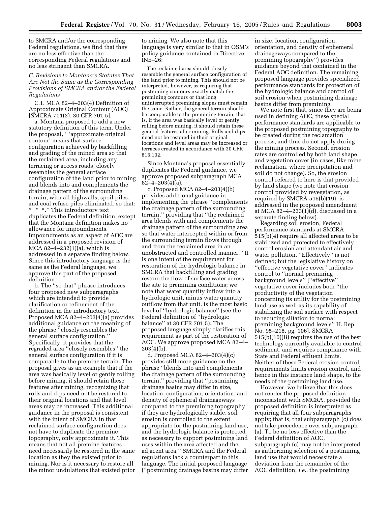to SMCRA and/or the corresponding Federal regulations, we find that they are no less effective than the corresponding Federal regulations and no less stringent than SMCRA.

# *C. Revisions to Montana's Statutes That Are Not the Same as the Corresponding Provisions of SMCRA and/or the Federal Regulations*

C.1. MCA 82–4–203(4) Definition of Approximate Original Contour (AOC) [SMCRA 701(2), 30 CFR 701.5].

a. Montana proposed to add a new statutory definition of this term. Under the proposal, '' 'approximate original contour' means that surface configuration achieved by backfilling and grading of the mined area so that the reclaimed area, including any terracing or access roads, closely resembles the general surface configuration of the land prior to mining and blends into and complements the drainage pattern of the surrounding terrain, with all highwalls, spoil piles, and coal refuse piles eliminated, so that: \* \* \*.'' This introductory text duplicates the Federal definition, except that the Montana definition makes no allowance for impoundments. Impoundments as an aspect of AOC are addressed in a proposed revision of MCA 82–4–232(1)(a), which is addressed in a separate finding below. Since this introductory language is the same as the Federal language, we approve this part of the proposed definition.

b. The ''so that'' phrase introduces four proposed new subparagraphs which are intended to provide clarification or refinement of the definition in the introductory text. Proposed MCA 82–4–203(4)(a) provides additional guidance on the meaning of the phrase ''closely resembles the general surface configuration.'' Specifically, it provides that the regraded area ''closely resembles'' the general surface configuration if it is comparable to the premine terrain. The proposal gives as an example that if the area was basically level or gently rolling before mining, it should retain these features after mining, recognizing that rolls and dips need not be restored to their original locations and that level areas may be increased. This additional guidance in the proposal is consistent with the intent of SMCRA in that reclaimed surface configuration does not have to duplicate the premine topography, only approximate it. This means that not all premine features need necessarily be restored in the same location as they the existed prior to mining. Nor is it necessary to restore all the minor undulations that existed prior to mining. We also note that this language is very similar to that in OSM's policy guidance contained in Directive INE–26:

The reclaimed area should closely resemble the general surface configuration of the land prior to mining. This should not be interpreted, however, as requiring that postmining contours exactly match the premining contours or that long uninterrupted premining slopes must remain the same. Rather, the general terrain should be comparable to the premining terrain; that is, if the area was basically level or gently rolling before mining, it should retain these general features after mining. Rolls and dips need not be restored in their original locations and level areas may be increased or terraces created in accordance with 30 CFR 816.102.

Since Montana's proposal essentially duplicates the Federal guidance, we approve proposed subparagraph MCA 82–4–203(4)(a).

c. Proposed MCA 82–4–203(4)(b) provides additional guidance in implementing the phrase ''complements the drainage pattern of the surrounding terrain,'' providing that ''the reclaimed area blends with and complements the drainage pattern of the surrounding area so that water intercepted within or from the surrounding terrain flows through and from the reclaimed area in an unobstructed and controlled manner.'' It is one intent of the requirement for restoration of the hydrologic balance in SMCRA that backfilling and grading restore the flow of surface water across the site to premining conditions; we note that water quantity inflow into a hydrologic unit, minus water quantity outflow from that unit, is the most basic level of ''hydrologic balance'' (see the Federal definition of ''hydrologic balance'' at 30 CFR 701.5). The proposed language simply clarifies this requirement as part of the restoration of AOC. We approve proposed MCA 82–4–  $203(4)(b)$ .

d. Proposed MCA 82–4–203(4)(c) provides still more guidance on the phrase ''blends into and complements the drainage pattern of the surrounding terrain,'' providing that ''postmining drainage basins may differ in size, location, configuration, orientation, and density of ephemeral drainageways compared to the premining topography if they are hydrologically stable, soil erosion is controlled to the extent appropriate for the postmining land use, and the hydrologic balance is protected as necessary to support postmining land uses within the area affected and the adjacent area.'' SMCRA and the Federal regulations lack a counterpart to this language. The initial proposed language (''postmining drainage basins may differ

in size, location, configuration, orientation, and density of ephemeral drainageways compared to the premining topography'') provides guidance beyond that contained in the Federal AOC definition. The remaining proposed language provides specialized performance standards for protection of the hydrologic balance and control of soil erosion when postmining drainage basins differ from premining.

We note first that, since they are being used in defining AOC, these special performance standards are applicable to the proposed postmining topography to be created during the reclamation process, and thus do not apply during the mining process. Second, erosion rates are controlled by both land shape and vegetation cover (in cases, like mine reclamation, where precipitation and soil do not change). So, the erosion control referred to here is that provided by land shape (we note that erosion control provided by revegetation, as required by SMCRA 515(b)(19), is addressed in the proposed amendment at MCA 82–4–233(1)(d), discussed in a separate finding below).

Regarding soil erosion, Federal performance standards at SMCRA 515(b)(4) require all affected areas to be stabilized and protected to effectively control erosion and attendant air and water pollution. ''Effectively'' is not defined; but the legislative history on ''effective vegetative cover'' indicates control to ''normal premining background levels'' [''effective'' vegetative cover includes both ''the productivity of the vegetation concerning its utility for the postmining land use as well as its capability of stabilizing the soil surface with respect to reducing siltation to normal premining background levels'' H. Rep. No. 95–218, pg. 106]. SMCRA 515(b)(10)(B) requires the use of the best technology currently available to control sediment, and requires compliance with State and Federal effluent limits. Neither of these Federal erosion control requirements limits erosion control, and hence in this instance land shape, to the needs of the postmining land use.

However, we believe that this does not render the proposed definition inconsistent with SMCRA, provided the proposed definition is interpreted as requiring that all four subparagraphs apply; that is, that subparagraph (c) does not take precedence over subparagraph (a). To be no less effective than the Federal definition of AOC, subparagraph (c) may not be interpreted as authorizing selection of a postmining land use that would necessitate a deviation from the remainder of the AOC definition; *i.e.*, the postmining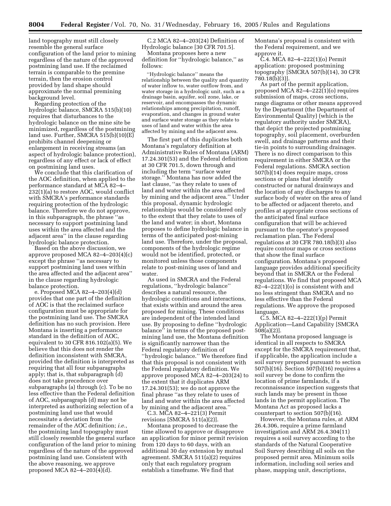land topography must still closely resemble the general surface configuration of the land prior to mining regardless of the nature of the approved postmining land use. If the reclaimed terrain is comparable to the premine terrain, then the erosion control provided by land shape should approximate the normal premining background level.

Regarding protection of the hydrologic balance, SMCRA 515(b)(10) requires that disturbances to the hydrologic balance on the mine site be minimized, regardless of the postmining land use. Further, SMCRA 515(b)(10)(E) prohibits channel deepening or enlargement in receiving streams (an aspect of hydrologic balance protection), regardless of any effect or lack of effect on postmining land uses.

We conclude that this clarification of the AOC definition, when applied to the performance standard at MCA 82–4– 232(1)(a) to restore AOC, would conflict with SMCRA's performance standards requiring protection of the hydrologic balance. Therefore we do not approve, in this subparagraph, the phrase ''as necessary to support postmining land uses within the area affected and the adjacent area'' in the clause regarding hydrologic balance protection.

Based on the above discussion, we approve proposed MCA 82–4–203(4)(c) except the phrase ''as necessary to support postmining land uses within the area affected and the adjacent area'' in the clause regarding hydrologic balance protection.

e. Proposed MCA 82–4–203(4)(d) provides that one part of the definition of AOC is that the reclaimed surface configuration must be appropriate for the postmining land use. The SMCRA definition has no such provision. Here Montana is inserting a performance standard in the definition of AOC, equivalent to 30 CFR 816.102(a)(5). We believe that this does not render the definition inconsistent with SMCRA, provided the definition is interpreted as requiring that all four subparagraphs apply; that is, that subparagraph (d) does not take precedence over subparagraphs (a) through (c). To be no less effective than the Federal definition of AOC, subparagraph (d) may not be interpreted as authorizing selection of a postmining land use that would necessitate a deviation from the remainder of the AOC definition; *i.e.*, the postmining land topography must still closely resemble the general surface configuration of the land prior to mining regardless of the nature of the approved postmining land use. Consistent with the above reasoning, we approve proposed MCA 82–4–203(4)(d).

C.2 MCA 82–4–203(24) Definition of Hydrologic balance [30 CFR 701.5].

Montana proposes here a new definition for ''hydrologic balance,'' as follows:

''Hydrologic balance'' means the relationship between the quality and quantity of water inflow to, water outflow from, and water storage in a hydrologic unit, such as a drainage basin, aquifer, soil zone, lake, or reservoir, and encompasses the dynamic relationships among precipitation, runoff, evaporation, and changes in ground water and surface water storage as they relate to uses of land and water within the area affected by mining and the adjacent area.

The first part of this duplicates both Montana's regulatory definition at Administrative Rules of Montana (ARM) 17.24.301(53) and the Federal definition at 30 CFR 701.5, down through and including the term ''surface water storage.'' Montana has now added the last clause, ''as they relate to uses of land and water within the area affected by mining and the adjacent area.'' Under this proposal, dynamic hydrologic relationships would be considered only to the extent that they relate to uses of the land and water; in short, Montana proposes to define hydrologic balance in terms of the anticipated post-mining land use. Therefore, under the proposal, components of the hydrologic regime would not be identified, protected, or monitored unless those components relate to post-mining uses of land and water.

As used in SMCRA and the Federal regulations, ''hydrologic balance'' describes a natural resource, the hydrologic conditions and interactions, that exists within and around the area proposed for mining. These conditions are independent of the intended land use. By proposing to define ''hydrologic balance'' in terms of the proposed postmining land use, the Montana definition is significantly narrower than the Federal regulatory definition of ''hydrologic balance.'' We therefore find that this proposal is not consistent with the Federal regulatory definition. We approve proposed MCA 82–4–203(24) to the extent that it duplicates ARM 17.24.301(53); we do not approve the final phrase ''as they relate to uses of land and water within the area affected by mining and the adjacent area.''

C.3. MCA  $82 - 4 - 221(3)$  Permit revisions [SMCRA 511(a)(2)].

Montana proposed to decrease the time allowed to approve or disapprove an application for minor permit revision from 120 days to 60 days, with an additional 30 day extension by mutual agreement. SMCRA 511(a)(2) requires only that each regulatory program establish a timeframe. We find that

Montana's proposal is consistent with the Federal requirement, and we approve it.

C.4. MCA 82–4–222(1)(o) Permit application: proposed postmining topography [SMCRA 507(b)(14), 30 CFR 780.18(b)(3)].

As part of the permit application, proposed MCA 82–4–222(1)(o) requires submission of maps, cross sections, range diagrams or other means approved by the Department (the Department of Environmental Quality) (which is the regulatory authority under SMCRA), that depict the projected postmining topography, soil placement, overburden swell, and drainage patterns and their tie-in points to surrounding drainages. There is no direct comparison to this requirement in either SMCRA or the Federal regulations. SMCRA section 507(b)(14) does require maps, cross sections or plans that identify constructed or natural drainways and the location of any discharges to any surface body of water on the area of land to be affected or adjacent thereto, and profiles at appropriate cross sections of the anticipated final surface configuration that will be achieved pursuant to the operator's proposed reclamation plan. The Federal regulations at 30 CFR 780.18(b)(3) also require contour maps or cross sections that show the final surface configuration. Montana's proposed language provides additional specificity beyond that in SMCRA or the Federal regulations. We find that proposed MCA  $82-4-222(1)(o)$  is consistent with and no less stringent than SMCRA and no less effective than the Federal regulations. We approve the proposed language.

C.5. MCA 82–4–222(1)(p) Permit Application—Land Capability [SMCRA 508(a)(2)].

The Montana proposed language is identical in all respects to SMCRA except for the SMCRA requirement that, if applicable, the application include a soil survey prepared pursuant to section 507(b)(16). Section 507(b)(16) requires a soil survey be done to confirm the location of prime farmlands, if a reconnaissance inspection suggests that such lands may be present in those lands in the permit application. The Montana Act as proposed lacks a counterpart to section 507(b)(16).

However, the Montana rules, at ARM 26.4.306, require a prime farmland investigation and ARM 26.4.304(11) requires a soil survey according to the standards of the Natural Cooperative Soil Survey describing all soils on the proposed permit area. Minimum soils information, including soil series and phase, mapping unit, descriptions,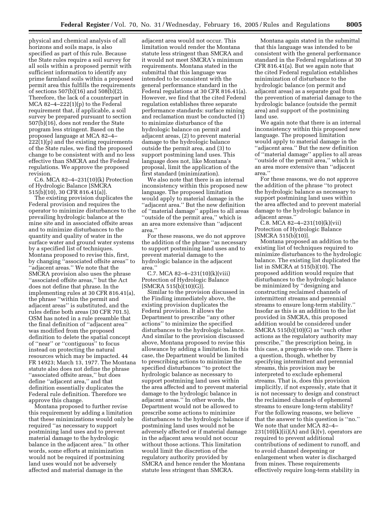physical and chemical analysis of all horizons and soils maps, is also specified as part of this rule. Because the State rules require a soil survey for all soils within a proposed permit with sufficient information to identify any prime farmland soils within a proposed permit area this fulfills the requirements of sections 507(b)(16) and 508(b)(2). Therefore, the lack of a counterpart in MCA  $82-4-222(1)(p)$  to the Federal requirement that, if applicable, a soil survey be prepared pursuant to section 507(b)(16), does not render the State program less stringent. Based on the proposed language at MCA 82–4– 222(1)(p) and the existing requirements of the State rules, we find the proposed change to be consistent with and no less effective than SMCRA and the Federal regulations. We approve the proposed revision.

C.6. MCA 82–4–231(10)(k) Protection of Hydrologic Balance [SMCRA 515(b)(10), 30 CFR 816.41(a)].

The existing provision duplicates the Federal provision and requires the operator to minimize disturbances to the prevailing hydrologic balance at the mine site and in associated offsite areas and to minimize disturbances to the quantity and quality of water in the surface water and ground water systems by a specified list of techniques. Montana proposed to revise this, first, by changing ''associated offsite areas'' to ''adjacent areas.'' We note that the SMCRA provision also uses the phrase ''associated offsite areas,'' but the Act does not define that phrase. In the implementing rules at 30 CFR 816.41(a), the phrase ''within the permit and adjacent areas'' is substituted, and the rules define both areas (30 CFR 701.5). OSM has noted in a rule preamble that the final definition of ''adjacent area'' was modified from the proposed definition to delete the spatial concept of ''near'' or ''contiguous'' to focus instead on protecting the natural resources which may be impacted. 44 FR 14923; March 13, 1977. The Montana statute also does not define the phrase ''associated offsite areas,'' but does define ''adjacent area,'' and that definition essentially duplicates the Federal rule definition. Therefore we approve this change.

Montana proposed to further revise this requirement by adding a limitation that these minimizations would only be required ''as necessary to support postmining land uses and to prevent material damage to the hydrologic balance in the adjacent area.'' In other words, some efforts at minimization would not be required if postmining land uses would not be adversely affected and material damage in the

adjacent area would not occur. This limitation would render the Montana statute less stringent than SMCRA and it would not meet SMCRA's minimum requirements. Montana stated in the submittal that this language was intended to be consistent with the general performance standard in the Federal regulations at 30 CFR 816.41(a). However, we find that the cited Federal regulation establishes three separate performance standards: surface mining and reclamation must be conducted (1) to minimize disturbance of the hydrologic balance on permit and adjacent areas, (2) to prevent material damage to the hydrologic balance outside the permit area, and (3) to support postmining land uses. This language does not, like Montana's proposal, limit the application of the first standard (minimization).

We also note that there is an internal inconsistency within this proposed new language. The proposed limitation would apply to material damage in the ''adjacent area.'' But the new definition of ''material damage'' applies to all areas ''outside of the permit area,'' which is an area more extensive than ''adjacent area.''

For these reasons, we do not approve the addition of the phrase ''as necessary to support postmining land uses and to prevent material damage to the hydrologic balance in the adjacent area.''

C.7. MCA 82–4–231(10)(k)(viii) Protection of Hydrologic Balance [SMCRA 515(b)(10)(G)].

Similar to the provision discussed in the Finding immediately above, the existing provision duplicates the Federal provision. It allows the Department to prescribe ''any other actions'' to minimize the specified disturbances to the hydrologic balance. And similar to the provision discussed above, Montana proposed to revise this allowance by adding a limitation. In this case, the Department would be limited to prescribing actions to minimize the specified disturbances ''to protect the hydrologic balance as necessary to support postmining land uses within the area affected and to prevent material damage to the hydrologic balance in adjacent areas.'' In other words, the Department would not be allowed to prescribe some actions to minimize disturbances to the hydrologic balance if postmining land uses would not be adversely affected or if material damage in the adjacent area would not occur without those actions. This limitation would limit the discretion of the regulatory authority provided by SMCRA and hence render the Montana statute less stringent than SMCRA.

Montana again stated in the submittal that this language was intended to be consistent with the general performance standard in the Federal regulations at 30 CFR 816.41(a). But we again note that the cited Federal regulation establishes minimization of disturbance to the hydrologic balance (on permit and adjacent areas) as a separate goal from the prevention of material damage to the hydrologic balance (outside the permit area) and support of the postmining land use.

We again note that there is an internal inconsistency within this proposed new language. The proposed limitation would apply to material damage in the ''adjacent area.'' But the new definition of ''material damage'' applies to all areas ''outside of the permit area,'' which is an area more extensive than ''adjacent area.''

For these reasons, we do not approve the addition of the phrase ''to protect the hydrologic balance as necessary to support postmining land uses within the area affected and to prevent material damage to the hydrologic balance in adjacent areas.''

C.8. MCA 82-4-231(10)(k)(vii) Protection of Hydrologic Balance [SMCRA 515(b)(10)].

Montana proposed an addition to the existing list of techniques required to minimize disturbances to the hydrologic balance. The existing list duplicated the list in SMCRA at 515(b)(10). The proposed addition would require that disturbances to the hydrologic balance be minimized by ''designing and constructing reclaimed channels of intermittent streams and perennial streams to ensure long-term stability.'' Insofar as this is an addition to the list provided in SMCRA, this proposed addition would be considered under SMCRA 515(b)(10)(G) as ''such other actions as the regulatory authority may prescribe,'' the prescription being, in this case, a program-wide one. There is a question, though, whether by specifying intermittent and perennial streams, this provision may be interpreted to exclude ephemeral streams. That is, does this provision implicitly, if not expressly, state that it is not necessary to design and construct the reclaimed channels of ephemeral streams to ensure long-term stability? For the following reasons, we believe that the answer to this question is ''no.'' We note that under MCA 82–4–  $231(10)(k)(ii)(A)$  and  $(k)(v)$ , operators are required to prevent additional contributions of sediment to runoff, and to avoid channel deepening or enlargement when water is discharged from mines. These requirements effectively require long-term stability in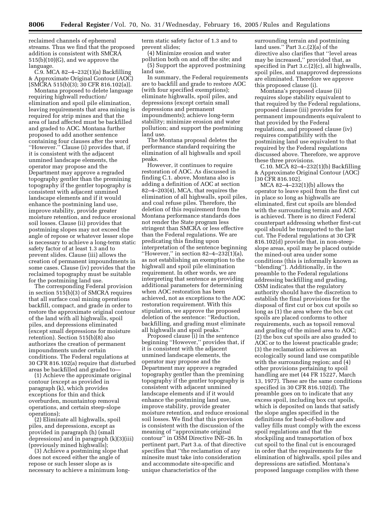reclaimed channels of ephemeral streams. Thus we find that the proposed addition is consistent with SMCRA 515(b)(10)(G), and we approve the language.

C.9. MCA 82–4–232(1)(a) Backfilling & Approximate Original Contour (AOC) [SMCRA 515(b)(3); 30 CFR 816.102(a)].

Montana proposed to delete language requiring highwall reduction/ elimination and spoil pile elimination, leaving requirements that area mining is required for strip mines and that the area of land affected must be backfilled and graded to AOC. Montana further proposed to add another sentence containing four clauses after the word ''However.'' Clause (i) provides that, if it is consistent with the adjacent unmined landscape elements, the operator may propose and the Department may approve a regraded topography gentler than the premining topography if the gentler topography is consistent with adjacent unmined landscape elements and if it would enhance the postmining land use, improve stability, provide greater moisture retention, and reduce erosional soil losses. Clause (ii) provides that postmining slopes may not exceed the angle of repose or whatever lesser slope is necessary to achieve a long-term static safety factor of at least 1.3 and to prevent slides. Clause (iii) allows the creation of permanent impoundments in some cases. Clause (iv) provides that the reclaimed topography must be suitable for the postmining land use.

The corresponding Federal provision in section 515(b)(3) of SMCRA requires that all surface coal mining operations backfill, compact, and grade in order to restore the approximate original contour of the land with all highwalls, spoil piles, and depressions eliminated (except small depressions for moisture retention). Section 515(b)(8) also authorizes the creation of permanent impoundments under certain conditions. The Federal regulations at 30 CFR 816.102(a) require that disturbed areas be backfilled and graded to—

(1) Achieve the approximate original contour (except as provided in paragraph (k), which provides exceptions for thin and thick overburden, mountaintop removal operations, and certain steep-slope operations);

(2) Eliminate all highwalls, spoil piles, and depressions, except as provided in paragraph (h) (small depressions) and in paragraph (k)(3)(iii) (previously mined highwalls);

(3) Achieve a postmining slope that does not exceed either the angle of repose or such lesser slope as is necessary to achieve a minimum longterm static safety factor of 1.3 and to prevent slides;

(4) Minimize erosion and water pollution both on and off the site; and (5) Support the approved postmining land use.

In summary, the Federal requirements are to backfill and grade to restore AOC (with four specified exemptions); eliminate highwalls, spoil piles, and depressions (except certain small depressions and permanent impoundments); achieve long-term stability; minimize erosion and water pollution; and support the postmining land use.

The Montana proposal deletes the performance standard requiring the elimination of all highwalls and spoil peaks.

However, it continues to require restoration of AOC. As discussed in finding C.1. above, Montana also is adding a definition of AOC at section 82–4–203(4), MCA, that requires the elimination of all highwalls, spoil piles, and coal refuse piles. Therefore, the deletion of this requirement from the Montana performance standards does not render the State program less stringent than SMCRA or less effective than the Federal regulations. We are predicating this finding upon interpretation of the sentence beginning "However," in section  $82-4-232(1)(a)$ , as not establishing an exemption to the highwall and spoil pile elimination requirement. In other words, we are interpreting that sentence as providing additional parameters for determining when AOC restoration has been achieved, not as exceptions to the AOC restoration requirement. With this stipulation, we approve the proposed deletion of the sentence: ''Reduction, backfilling, and grading must eliminate all highwalls and spoil peaks.''

Proposed clause (i) in the sentence beginning ''However,'' provides that, if it is consistent with the adjacent unmined landscape elements, the operator may propose and the Department may approve a regraded topography gentler than the premining topography if the gentler topography is consistent with adjacent unmined landscape elements and if it would enhance the postmining land use, improve stability, provide greater moisture retention, and reduce erosional soil losses. We find that this provision is consistent with the discussion of the meaning of ''approximate original contour'' in OSM Directive INE–26. In pertinent part, Part 3.a. of that directive specifies that ''the reclamation of any minesite must take into consideration and accommodate site-specific and unique characteristics of the

surrounding terrain and postmining land uses.'' Part 3.c.(2)(a) of the directive also clarifies that ''level areas may be increased,'' provided that, as specified in Part 3.c.(2)(c), all highwalls, spoil piles, and unapproved depressions are eliminated. Therefore we approve this proposed clause (i).

Montana's proposed clause (ii) requires slope stability equivalent to that required by the Federal regulations, proposed clause (iii) provides for permanent impoundments equivalent to that provided by the Federal regulations, and proposed clause (iv) requires compatibility with the postmining land use equivalent to that required by the Federal regulations discussed above. Therefore, we approve these three provisions.

C.10. MCA 82–4–232(1)(b) Backfilling & Approximate Original Contour (AOC) [30 CFR 816.102].

MCA 82–4–232(1)(b) allows the operator to leave spoil from the first cut in place so long as highwalls are eliminated, first cut spoils are blended with the surrounding terrain and AOC is achieved. There is no direct Federal counterpart addressing whether first-cut spoil should be transported to the last cut. The Federal regulations at 30 CFR 816.102(d) provide that, in non-steepslope areas, spoil may be placed outside the mined-out area under some conditions (this is informally known as ''blending''). Additionally, in the preamble to the Federal regulations addressing backfilling and grading, OSM indicates that the regulatory authority should have the discretion to establish the final provisions for the disposal of first cut or box cut spoils so long as (1) the area where the box cut spoils are placed conforms to other requirements, such as topsoil removal and grading of the mined area to AOC; (2) the box cut spoils are also graded to AOC or to the lowest practicable grade; (3) the reclamation achieves an ecologically sound land use compatible with the surrounding region; and (4) other provisions pertaining to spoil handling are met (44 FR 15227, March 13, 1977). These are the same conditions specified in 30 CFR 816.102(d). The preamble goes on to indicate that any excess spoil, including box cut spoils, which is deposited on lands that satisfy the slope angles specified in the definitions for head-of-hollow and valley fills must comply with the excess spoil regulations and that the stockpiling and transportation of box cut spoil to the final cut is encouraged in order that the requirements for the elimination of highwalls, spoil piles and depressions are satisfied. Montana's proposed language complies with these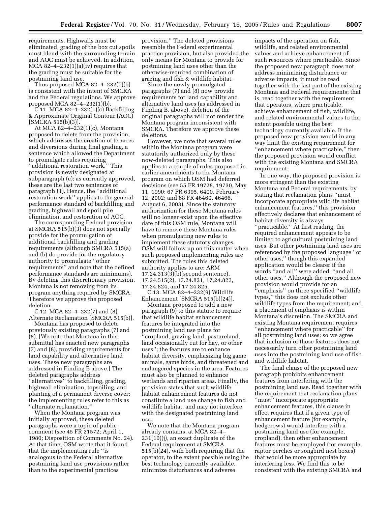requirements. Highwalls must be eliminated, grading of the box cut spoils must blend with the surrounding terrain and AOC must be achieved. In addition, MCA 82–4–232(1)(a)(iv) requires that the grading must be suitable for the postmining land use.

Thus proposed MCA 82–4–232(1)(b) is consistent with the intent of SMCRA and the Federal regulations. We approve proposed MCA 82–4–232(1)(b).

C.11. MCA 82–4–232(1)(c) Backfilling & Approximate Original Contour (AOC) [SMCRA 515(b)(3)].

At MCA 82–4–232(1)(c), Montana proposed to delete from the provision, which addresses the creation of terraces and diversions during final grading, a sentence which allowed the Department to promulgate rules requiring ''additional restoration work.'' This provision is newly designated at subparagraph (c); as currently approved, these are the last two sentences of paragraph (1). Hence, the ''additional restoration work'' applies to the general performance standard of backfilling and grading, highwall and spoil pile elimination, and restoration of AOC.

The corresponding Federal provision at SMCRA 515(b)(3) does not specially provide for the promulgation of additional backfilling and grading requirements (although SMCRA 515(a) and (b) do provide for the regulatory authority to promulgate ''other requirements'' and note that the defined performance standards are minimums). By deleting this discretionary provision, Montana is not removing from its program anything required by SMCRA. Therefore we approve the proposed deletion.

C.12. MCA 82–4–232(7) and (8) Alternate Reclamation [SMCRA 515(b)].

Montana has proposed to delete previously existing paragraphs (7) and (8). [We note that Montana in this submittal has enacted new paragraphs (7) and (8), providing requirements for land capability and alternative land uses. These new paragraphs are addressed in Finding B above.] The deleted paragraphs address ''alternatives'' to backfilling, grading, highwall elimination, topsoiling, and planting of a permanent diverse cover; the implementing rules refer to this as ''alternate reclamation.''

When the Montana program was initially approved, these deleted paragraphs were a topic of public comment (see 45 FR 21572; April 1, 1980; Disposition of Comments No. 24). At that time, OSM wrote that it found that the implementing rule ''is analogous to the Federal alternative postmining land use provisions rather than to the experimental practices

provision.'' The deleted provisions resemble the Federal experimental practice provision, but also provided the only means for Montana to provide for postmining land uses other than the otherwise-required combination of grazing and fish & wildlife habitat.

Since the newly-promulgated paragraphs (7) and (8) now provide requirements for land capability and alternative land uses (as addressed in Finding B. above), deletion of the original paragraphs will not render the Montana program inconsistent with SMCRA. Therefore we approve these deletions.

However, we note that several rules within the Montana program were statutorily authorized only by these now-deleted paragraphs. This also applies to a couple of rules proposed in earlier amendments to the Montana program on which OSM had deferred decisions (see 55 FR 19728, 19730, May 11, 1990; 67 FR 6395, 6400, February 12, 2002; and 68 FR 46460, 46466, August 6, 2003). Since the statutory authorization for these Montana rules will no longer exist upon the effective date of this OSM rule, Montana will have to remove these Montana rules when promulgating new rules to implement these statutory changes. OSM will follow up on this matter when such proposed implementing rules are submitted. The rules this deleted authority applies to are: ARM 17.24.313(3)(b)(second sentence), 17.24.515(2), 17.24.821, 17.24.823, 17.24.824, and 17.24.825.

C.13. MCA 82–4–232(9) Wildlife Enhancement [SMCRA 515(b)(24)].

Montana proposed to add a new paragraph (9) to this statute to require that wildlife habitat enhancement features be integrated into the postmining land use plans for ''cropland, grazing land, pastureland, land occasionally cut for hay, or other uses''; the features are to enhance habitat diversity, emphasizing big game animals, game birds, and threatened and endangered species in the area. Features must also be planned to enhance wetlands and riparian areas. Finally, the provision states that such wildlife habitat enhancement features do not constitute a land use change to fish and wildlife habitat, and may not interfere with the designated postmining land use.

We note that the Montana program already contains, at MCA 82–4– 231(10)(j), an exact duplicate of the Federal requirement at SMCRA 515(b)(24), with both requiring that the operator, to the extent possible using the best technology currently available, minimize disturbances and adverse

impacts of the operation on fish, wildlife, and related environmental values and achieve enhancement of such resources where practicable. Since the proposed new paragraph does not address minimizing disturbance or adverse impacts, it must be read together with the last part of the existing Montana and Federal requirements; that is, read together with the requirement that operators, where practicable, achieve enhancement of fish, wildlife, and related environmental values to the extent possible using the best technology currently available. If the proposed new provision would in any way limit the existing requirement for ''enhancement where practicable,'' then the proposed provision would conflict with the existing Montana and SMCRA requirement.

In one way, the proposed provision is more stringent than the existing Montana and Federal requirements: by stating that reclamation plans ''must incorporate appropriate wildlife habitat enhancement features,'' this provision effectively declares that enhancement of habitat diversity is always ''practicable.'' At first reading, the required enhancement appears to be limited to agricultural postmining land uses. But other postmining land uses are referenced by the proposed language ''or other uses,'' though this expanded application would be clearer if the words ''and all'' were added: ''and all other uses.'' Although the proposed new provision would provide for an ''emphasis'' on three specified ''wildlife types,'' this does not exclude other wildlife types from the requirement; and a placement of emphasis is within Montana's discretion. The SMCRA and existing Montana requirement requires ''enhancement where practicable'' for all postmining land uses; so we agree that inclusion of those features does not necessarily turn other postmining land uses into the postmining land use of fish and wildlife habitat.

The final clause of the proposed new paragraph prohibits enhancement features from interfering with the postmining land use. Read together with the requirement that reclamation plans "must" incorporate appropriate enhancement features, this clause in effect requires that if a given type of enhancement feature (for example, hedgerows) would interfere with a postmining land use (for example, cropland), then other enhancement features must be employed (for example, raptor perches or songbird nest boxes) that would be more appropriate by interfering less. We find this to be consistent with the existing SMCRA and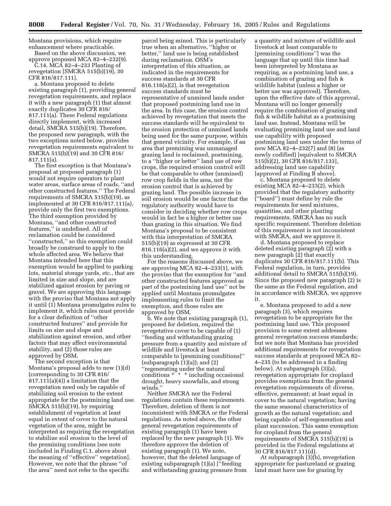Montana provisions, which require enhancement where practicable. Based on the above discussion, we

approve proposed MCA 82–4–232(9). C.14. MCA 82–4–233 Planting of revegetation [SMCRA 515(b)(19), 30 CFR 816/817.111].

a. Montana proposed to delete existing paragraph (1), providing general revegetation requirements, and replace it with a new paragraph (1) that almost exactly duplicates 30 CFR 816/ 817.111(a). These Federal regulations directly implement, with increased detail, SMCRA 515(b)(19). Therefore, the proposed new paragraph, with the two exceptions noted below, provides revegetation requirements equivalent to SMCRA 515(b)(19) and 30 CFR 816/ 817.111(a).

The first exception is that Montana's proposal at proposed paragraph (1) would not require operators to plant water areas, surface areas of roads, ''and other constructed features.'' The Federal requirements of SMCRA 515(b)(19), as implemented at 30 CFR 816/817.111(a), provide only the first two exemptions. The third exemption provided by Montana, ''and other constructed features,'' is undefined. All of reclamation could be considered ''constructed,'' so this exemption could broadly be construed to apply to the whole affected area. We believe that Montana intended here that this exemption would be applied to parking lots, material storage yards, etc., that are limited in size and slope, and are stabilized against erosion by paving or gravel. We are approving this language with the proviso that Montana not apply it until (1) Montana promulgates rules to implement it, which rules must provide for a clear definition of ''other constructed features'' and provide for limits on size and slope and stabilization against erosion, and other factors that may affect environmental stability, and (2) those rules are approved by OSM.

The second exception is that Montana's proposal adds to new (1)(d) (corresponding to 30 CFR 816/ 817.111(a)(4)) a limitation that the revegetation need only be capable of stabilizing soil erosion to the extent appropriate for the postmining land use. SMCRA 515(b)(19), by requiring establishment of vegetation at least equal in extent of cover to the natural vegetation of the area, might be interpreted as requiring the revegetation to stabilize soil erosion to the level of the premining conditions [see note included in Finding C.1. above about the meaning of ''effective'' vegetation]. However, we note that the phrase ''of the area'' need not refer to the specific

parcel being mined. This is particularly true when an alternative, ''higher or better,'' land use is being established during reclamation. OSM's interpretation of this situation, as indicated in the requirements for success standards at 30 CFR 816.116(a)(2), is that revegetation success standards must be representative of unmined lands under that proposed postmining land use in the area. In this case, the erosion control achieved by revegetation that meets the success standards will be equivalent to the erosion protection of unmined lands being used for the same purpose, within that general vicinity. For example, if an area that premining was unmanaged grazing land is reclaimed, postmining, to a ''higher or better'' land use of row crops, the required erosion control will be that comparable to other (unmined) row crop fields in the area, not the erosion control that is achieved by grazing land. The possible increase in soil erosion would be one factor that the regulatory authority would have to consider in deciding whether row crops would in fact be a higher or better use than grazing in this situation. We find Montana's proposal to be consistent with this interpretation of SMCRA 515(b)(19) as expressed at 30 CFR 816.116(a)(2), and we approve it with this understanding.

For the reasons discussed above, we are approving MCA 82–4–233(1), with the proviso that the exemption for ''and other constructed features approved as part of the postmining land use'' not be applied until Montana promulgates implementing rules to limit the exemption, and those rules are approved by OSM.

b. We note that existing paragraph (1), proposed for deletion, required the revegetative cover to be capable of (1) ''feeding and withstanding grazing pressure from a quantity and mixture of wildlife and livestock at least comparable to [premining conditions]'' (subparagraph  $(1)(a)$ ); and  $(2)$ ''regenerating under the natural conditions \* \* \* including occasional drought, heavy snowfalls, and strong winds.''

Neither SMCRA nor the Federal regulations contain these requirements. Therefore, deletion of them is not inconsistent with SMCRA or the Federal regulations. As noted above, the other general revegetation requirements of existing paragraph (1) have been replaced by the new paragraph (1). We therefore approve the deletion of existing paragraph (1). We note, however, that the deleted language of existing subparagraph (1)(a) [''feeding and withstanding grazing pressure from

a quantity and mixture of wildlife and livestock at least comparable to [premining conditions''] was the language that up until this time had been interpreted by Montana as requiring, as a postmining land use, a combination of grazing and fish & wildlife habitat (unless a higher or better use was approved). Therefore, upon the effective date of this approval, Montana will no longer generally require the combination of grazing and fish & wildlife habitat as a postmining land use. Instead, Montana will be evaluating premining land use and land use capability with proposed postmining land uses under the terms of new MCA 82–4–232(7) and (8) (as newly codified) [equivalent to SMCRA 515(b)(2), 30 CFR 816/817.133], addressing land use capability [approved at Finding B above].

c. Montana proposed to delete existing MCA 82–4–233(2), which provided that the regulatory authority (''board'') must define by rule the requirements for seed mixtures, quantities, and other planting requirements. SMCRA has no such specific requirement. Therefore deletion of this requirement is not inconsistent with SMCRA, and we approve it.

d. Montana proposed to replace deleted existing paragraph (2) with a new paragraph (2) that exactly duplicates 30 CFR 816/817.111(b). This Federal regulation, in turn, provides additional detail to SMCRA 515(b)(19). Since the proposed new paragraph (2) is the same as the Federal regulation, and in accordance with SMCRA, we approve it.

e. Montana proposed to add a new paragraph (3), which requires revegetation to be appropriate for the postmining land use. This proposed provision to some extent addresses general revegetation success standards; but we note that Montana has provided additional requirements for revegetation success standards at proposed MCA 82– 4–235 (to be addressed in a finding below). At subparagraph (3)(a), revegetation appropriate for cropland provides exemptions from the general revegetation requirements of: diverse, effective, permanent; at least equal in cover to the natural vegetation; having the same seasonal characteristics of growth as the natural vegetation; and being capable of self-regeneration and plant succession. This same exemption for cropland from the general requirements of SMCRA 515(b)(19) is provided in the Federal regulations at 30 CFR 816/817.111(d).

At subparagraph (3)(b), revegetation appropriate for pastureland or grazing land must have use for grazing by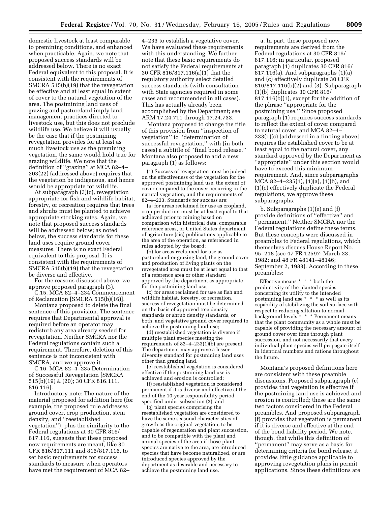domestic livestock at least comparable to premining conditions, and enhanced when practicable. Again, we note that proposed success standards will be addressed below. There is no exact Federal equivalent to this proposal. It is consistent with the requirements of SMCRA 515(b)(19) that the revegetation be effective and at least equal in extent of cover to the natural vegetation of the area. The postmining land uses of grazing and pastureland imply land management practices directed to livestock use, but this does not preclude wildlife use. We believe it will usually be the case that if the postmining revegetation provides for at least as much livestock use as the premining vegetation, the same would hold true for grazing wildlife. We note that the definition of ''grazing'' at MCA 82–4– 203(22) (addressed above) requires that the vegetation be indigenous, and hence would be appropriate for wildlife.

At subparagraph (3)(c), revegetation appropriate for fish and wildlife habitat, forestry, or recreation requires that trees and shrubs must be planted to achieve appropriate stocking rates. Again, we note that proposed success standards will be addressed below; as noted below, the success standards for these land uses require ground cover measures. There is no exact Federal equivalent to this proposal. It is consistent with the requirements of SMCRA 515(b)(19) that the revegetation be diverse and effective.

For the reasons discussed above, we approve proposed paragraph (3).

C.15. MCA 82–4–234 Commencement of Reclamation [SMCRA 515(b)(16)].

Montana proposed to delete the final sentence of this provision. The sentence requires that Departmental approval is required before an operator may redisturb any area already seeded for revegetation. Neither SMCRA nor the Federal regulations contain such a requirement. Therefore, deletion of this sentence is not inconsistent with SMCRA, and we approve it.

C.16. MCA 82–4–235 Determination of Successful Revegetation [SMCRA 515(b)(19) & (20); 30 CFR 816.111, 816.116].

Introductory note: The nature of the material proposed for addition here (for example, the proposed rule addresses ground cover, crop production, stem density, and ''reestablished vegetation''), plus the similarity to the Federal regulations at 30 CFR 816/ 817.116, suggests that these proposed new requirements are meant, like 30 CFR 816/817.111 and 816/817.116, to set basic requirements for success standards to measure when operators have met the requirement of MCA 82–

4–233 to establish a vegetative cover. We have evaluated these requirements with this understanding. We further note that these basic requirements do not satisfy the Federal requirements at 30 CFR 816/817.116(a)(1) that the regulatory authority select detailed success standards (with consultation with State agencies required in some cases and recommended in all cases). This has actually already been accomplished by the Department; see ARM 17.24.711 through 17.24.733.

Montana proposed to change the title of this provision from ''inspection of vegetation'' to ''determination of successful revegetation,'' with (in both cases) a subtitle of ''final bond release.'' Montana also proposed to add a new paragraph (1) as follows:

(1) Success of revegetation must be judged on the effectiveness of the vegetation for the approved postmining land use, the extent of cover compared to the cover occurring in the natural vegetation, and the requirements of 82–4–233. Standards for success are:

(a) for areas reclaimed for use as cropland, crop production must be at least equal to that achieved prior to mining based on comparison with historical data, comparable reference areas, or United States department of agriculture (sic) publications applicable to the area of the operation, as referenced in rules adopted by the board;

(b) for areas reclaimed for use as pastureland or grazing land, the ground cover and production of living plants on the revegetated area must be at least equal to that of a reference area or other standard approved by the department as appropriate for the postmining land use;

(c) for areas reclaimed for use as fish and wildlife habitat, forestry, or recreation, success of revegetation must be determined on the basis of approved tree density standards or shrub density standards, or both, and vegetative ground cover required to achieve the postmining land use;

(d) reestablished vegetation is diverse if multiple plant species meeting the requirements of  $\overline{82-4-233(1)(b)}$  are present. The department may approve a lesser diversity standard for postmining land uses other than grazing land.

(e) reestablished vegetation is considered effective if the postmining land use is achieved and erosion is controlled;

(f) reestablished vegetation is considered permanent if it is diverse and effective at the end of the 10-year responsibility period specified under subsection (2); and

(g) plant species comprising the reestablished vegetation are considered to have the same seasonal characteristics of growth as the original vegetation, to be capable of regeneration and plant succession, and to be compatible with the plant and animal species of the area if those plant species are native to the area, are introduced species that have become naturalized, or are introduced species approved by the department as desirable and necessary to achieve the postmining land use.

a. In part, these proposed new requirements are derived from the Federal regulations at 30 CFR 816/ 817.116; in particular, proposed paragraph (1) duplicates 30 CFR 816/ 817.116(a). And subparagraphs (1)(a) and (c) effectively duplicate 30 CFR 816/817.116(b)(2) and (3). Subparagraph (1)(b) duplicates 30 CFR 816/ 817.116(b)(1), except for the addition of the phrase ''appropriate for the postmining use.'' Since proposed paragraph (1) requires success standards to reflect the extent of cover compared to natural cover, and MCA 82–4– 233(1)(c) [addressed in a finding above] requires the established cover to be at least equal to the natural cover, any standard approved by the Department as ''appropriate'' under this section would have to exceed this minimum requirement. And, since subparagraphs MCA 82–4–235(1), (1)(a), (1)(b), and (1)(c) effectively duplicate the Federal regulations, we approve these subparagraphs.

b. Subparagraphs (1)(e) and (f) provide definitions of ''effective'' and 'permanent." Neither SMCRA nor the Federal regulations define these terms. But these concepts were discussed in preambles to Federal regulations, which themselves discuss House Report No. 95–218 (see 47 FR 12597; March 23, 1982; and 48 FR 48141–48146; September 2, 1983). According to these preambles:

Effective means \* \* \* both the productivity of the planted species concerning its utility to the intended postmining land use \* \* \* as well as its capability of stabilizing the soil surface with respect to reducing siltation to normal background levels \* \* \* Permanent means that the plant community as a whole must be capable of providing the necessary amount of ground cover over time through plant succession, and not necessarily that every individual plant species will propagate itself in identical numbers and rations throughout the future.

Montana's proposed definitions here are consistent with these preamble discussions. Proposed subparagraph (e) provides that vegetation is effective if the postmining land use is achieved and erosion is controlled; these are the same two factors considered in the Federal preambles. And proposed subparagraph (f) provides that vegetation is permanent if it is diverse and effective at the end of the bond liability period. We note, though, that while this definition of ''permanent'' may serve as a basis for determining criteria for bond release, it provides little guidance applicable to approving revegetation plans in permit applications. Since these definitions are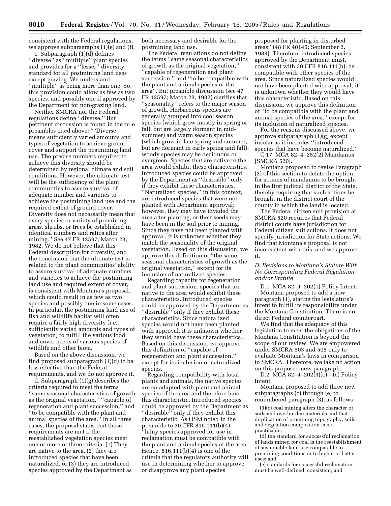consistent with the Federal regulations, we approve subparagraphs (1)(e) and (f).

c. Subparagraph (1)(d) defines "diverse" as "multiple" plant species and provides for a ''lesser'' diversity standard for all postmining land uses except grazing. We understand ''multiple'' as being more than one. So, this provision could allow as few as two species, and possibly one if approved by the Department for non-grazing land.

Neither SMCRA nor the Federal regulations define ''diverse.'' But pertinent discussion is found in the rule preambles cited above: '' 'Diverse' means sufficiently varied amounts and types of vegetation to achieve ground cover and support the postmining land use. The precise numbers required to achieve this diversity should be determined by regional climate and soil conditions. However, the ultimate test will be the sufficiency of the plant communities to assure survival of adequate number and varieties to achieve the postmining land use and the required extent of ground cover. Diversity does not necessarily mean that every species or variety of premining grass, shrubs, or trees be established in identical numbers and ratios after mining.'' See 47 FR 12597; March 23, 1982. We do not believe that this Federal description for diversity, and the conclusion that the ultimate test is related to the plant communities' ability to assure survival of adequate numbers and varieties to achieve the postmining land use and required extent of cover, is consistent with Montana's proposal, which could result in as few as two species and possibly one in some cases. In particular, the postmining land use of fish and wildlife habitat will often require a fairly high diversity (*i.e.*, sufficiently varied amounts and types of vegetation) to fulfill the various food and cover needs of various species of wildlife and other biota.

Based on the above discussion, we find proposed subparagraph (1)(d) to be less effective than the Federal requirements, and we do not approve it.

d. Subparagraph (1)(g) describes the criteria required to meet the terms ''same seasonal characteristics of growth as the original vegetation,'' ''capable of regeneration and plant succession,'' and ''to be compatible with the plant and animal species of the area.'' In all three cases, the proposal states that these requirements are met if the reestablished vegetation species meet one or more of three criteria: (1) They are native to the area, (2) they are introduced species that have been naturalized, or (3) they are introduced species approved by the Department as

both necessary and desirable for the postmining land use.

The Federal regulations do not define the terms ''same seasonal characteristics of growth as the original vegetation,'' ''capable of regeneration and plant succession,'' and ''to be compatible with the plant and animal species of the area''. But preamble discussion (see 47 FR 12597; March 23, 1982) clarifies that ''seasonality'' refers to the major season of growth. Herbaceous species are generally grouped into cool season species (which grow mostly in spring or fall, but are largely dormant in midsummer) and warm season species (which grow in late spring and summer, but are dormant in early spring and fall); woody species may be deciduous or evergreen. Species that are native to the area would exhibit these characteristics. Introduced species could be approved by the Department as ''desirable'' only if they exhibit these characteristics. ''Naturalized species,'' in this context, are introduced species that were not planted with Department approval; however, they may have invaded the area after planting, or their seeds may have been in the soil prior to mining. Since they have not been planted with approval, it is unknown whether they match the seasonality of the original vegetation. Based on this discussion, we approve this definition of ''the same seasonal characteristics of growth as the original vegetation,'' except for its inclusion of naturalized species.

Regarding capacity for regeneration and plant succession, species that are native to the area would exhibit these characteristics. Introduced species could be approved by the Department as "desirable" only if they exhibit these characteristics. Since naturalized species would not have been planted with approval, it is unknown whether they would have these characteristics. Based on this discussion, we approve this definition of ''capable of regeneration and plant succession,'' except for its inclusion of naturalized species.

Regarding compatibility with local plants and animals, the native species are co-adapted with plant and animal species of the area and therefore have this characteristic. Introduced species could be approved by the Department as ''desirable'' only if they exhibit this characteristic. As OSM noted in the preamble to 30 CFR 816.111(b)(4), '[a]ny species approved for use in reclamation must be compatible with the plant and animal species of the area. Hence,  $816.111(b)(4)$  is one of the criteria that the regulatory authority will use in determining whether to approve or disapprove any plant species

proposed for planting in disturbed areas'' (48 FR 40145; September 2, 1983). Therefore, introduced species approved by the Department must, consistent with 30 CFR 816.111(b), be compatible with other species of the area. Since naturalized species would not have been planted with approval, it is unknown whether they would have this characteristic. Based on this discussion, we approve this definition of ''to be compatible with the plant and animal species of the area,'' except for its inclusion of naturalized species.

For the reasons discussed above, we approve subparagraph (1)(g) except insofar as it includes ''introduced species that have become naturalized.''

C.17. MCA 82–4–252(2) Mandamus [SMCRA 520].

Montana proposed to revise Paragraph (2) of this section to delete the option for actions of mandamus to be brought in the first judicial district of the State, thereby requiring that such actions be brought in the district court of the county in which the land is located.

The Federal citizen suit provision at SMCRA 520 requires that Federal district courts have jurisdiction for Federal citizen suit actions. It does not specify jurisdiction for State actions. We find that Montana's proposal is not inconsistent with this, and we approve it.

#### *D. Revisions to Montana's Statute With No Corresponding Federal Regulation and/or Statute*

D.1. MCA 82–4–202(1) Policy Intent. Montana proposed to add a new paragraph (1), stating the legislature's intent to fulfill its responsibility under the Montana Constitution. There is no direct Federal counterpart.

We find that the adequacy of this legislation to meet the obligations of the Montana Constitution is beyond the scope of our review. We are empowered under SMCRA 503 and 505 only to evaluate Montana's laws in comparison to SMCRA. Therefore, we take no action on this proposed new paragraph.

D.2. MCA 82–4–202(3)(c)—(e) Policy Intent.

Montana proposed to add three new subparagraphs (c) through (e) to renumbered paragraph (3), as follows:

(3)(c) coal mining alters the character of soils and overburden materials and that duplication of premining topography, soils, and vegetation composition is not practicable;

(d) the standard for successful reclamation of lands mined for coal is the reestablishment of sustainable land use comparable to premining conditions or to higher or better uses; and

(e) standards for successful reclamation must be well-defined, consistent, and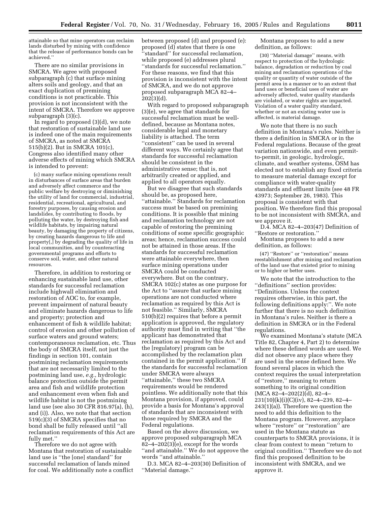attainable so that mine operators can reclaim lands disturbed by mining with confidence that the release of performance bonds can be achieved.''

There are no similar provisions in SMCRA. We agree with proposed subparagraph (c) that surface mining alters soils and geology, and that an exact duplication of premining conditions is not practicable. This provision is not inconsistent with the intent of SMCRA. Therefore we approve subparagraph (3)(c).

In regard to proposed (3)(d), we note that restoration of sustainable land use is indeed one of the main requirements of SMCRA, as noted at SMCRA 515(b)(2). But in SMCRA 101(c), Congress also identified many other adverse effects of mining which SMCRA is intended to prevent:

(c) many surface mining operations result in disturbances of surface areas that burden and adversely affect commerce and the public welfare by destroying or diminishing the utility of land for commercial, industrial, residential, recreational, agricultural, and forestry purposes, by causing erosion and landslides, by contributing to floods, by polluting the water, by destroying fish and wildlife habitats, by impairing natural beauty, by damaging the property of citizens, by creating hazards dangerous to life and property[,] by degrading the quality of life in local communities, and by counteracting governmental programs and efforts to conserve soil, water, and other natural resources.

Therefore, in addition to restoring or enhancing sustainable land use, other standards for successful reclamation include highwall elimination and restoration of AOC to, for example, prevent impairment of natural beauty and eliminate hazards dangerous to life and property; protection and enhancement of fish & wildlife habitat; control of erosion and other pollution of surface waters and ground waters; contemporaneous reclamation, etc. Thus the body of SMCRA itself, not just the findings in section 101, contain postmining reclamation requirements that are not necessarily limited to the postmining land use, *e.g.*, hydrologic balance protection outside the permit area and fish and wildlife protection and enhancement even when fish and wildlife habitat is not the postmining land use (see also 30 CFR 816.97(a), (h), and (i)). Also, we note that that section 519(c)(3) of SMCRA specifies that no bond shall be fully released until ''all reclamation requirements of this Act are fully met.''

Therefore we do not agree with Montana that restoration of sustainable land use is ''the [one] standard'' for successful reclamation of lands mined for coal. We additionally note a conflict between proposed (d) and proposed (e): proposed (d) states that there is one 'standard'' for successful reclamation, while proposed (e) addresses plural ''standards for successful reclamation.'' For these reasons, we find that this provision is inconsistent with the intent of SMCRA, and we do not approve proposed subparagraph MCA 82–4– 202(3)(d).

With regard to proposed subparagraph (3)(e), we agree that standards for successful reclamation must be welldefined, because as Montana notes, considerable legal and monetary liability is attached. The term ''consistent'' can be used in several different ways. We certainly agree that standards for successful reclamation should be consistent in the administrative sense; that is, not arbitrarily created or applied, and applied to all operators equally.

But we disagree that such standards should be, as proposed here, ''attainable.'' Standards for reclamation success must be based on premining conditions. It is possible that mining and reclamation technology are not capable of restoring the premining conditions of some specific geographic areas; hence, reclamation success could not be attained in those areas. If the standards for successful reclamation were attainable everywhere, then surface mining operations under SMCRA could be conducted everywhere. But on the contrary, SMCRA 102(c) states as one purpose for the Act to ''assure that surface mining operations are not conducted where reclamation as required by this Act is not feasible.'' Similarly, SMCRA 510(b)(2) requires that before a permit application is approved, the regulatory authority must find in writing that ''the applicant has demonstrated that reclamation as required by this Act and the [regulatory] program can be accomplished by the reclamation plan contained in the permit application.'' If the standards for successful reclamation under SMCRA were always

''attainable,'' these two SMCRA requirements would be rendered pointless. We additionally note that this Montana provision, if approved, could provide a basis for Montana's approval of standards that are inconsistent with those required by SMCRA and the Federal regulations.

Based on the above discussion, we approve proposed subparagraph MCA 82–4–202(3)(e), except for the words ''and attainable.'' We do not approve the words ''and attainable.''

D.3. MCA 82–4–203(30) Definition of ''Material damage.''

Montana proposes to add a new definition, as follows:

(30) ''Material damage'' means, with respect to protection of the hydrologic balance, degradation or reduction by coal mining and reclamation operations of the quality or quantity of water outside of the permit area in a manner or to an extent that land uses or beneficial uses of water are adversely affected, water quality standards are violated, or water rights are impacted. Violation of a water quality standard, whether or not an existing water use is affected, is material damage.

We note that there is no such definition in Montana's rules. Neither is there a definition in SMCRA or in the Federal regulations. Because of the great variation nationwide, and even permitto-permit, in geologic, hydrologic, climate, and weather systems, OSM has elected not to establish any fixed criteria to measure material damage except for compliance with water-quality standards and effluent limits (see 48 FR 43973; September 26, 1983). This proposal is consistent with that position. We therefore find this proposal to be not inconsistent with SMCRA, and we approve it.

D.4. MCA 82–4–203(47) Definition of ''Restore or restoration.''

Montana proposes to add a new definition, as follows:

(47) ''Restore'' or ''restoration'' means reestablishment after mining and reclamation of the land use that existed prior to mining or to higher or better uses.

We note that the introduction to the ''definitions'' section provides: ''Definitions. Unless the context requires otherwise, in this part, the following definitions apply:''. We note further that there is no such definition in Montana's rules. Neither is there a definition in SMCRA or in the Federal regulations.

We examined Montana's statute (MCA Title 82, Chapter 4, Part 2) to determine where these defined words are used. We did not observe any place where they are used in the sense defined here. We found several places in which the context requires the usual interpretation of ''restore,'' meaning to return something to its original condition  $(MCA 82-4-202(2)(d), 82-4-$ 231(10)(k)(i)(C)(iv), 82–4–239, 82–4– 243(1)(a)). Therefore we question the need to add this definition to the Montana program. However, anyplace where ''restore'' or ''restoration'' are used in the Montana statute as counterparts to SMCRA provisions, it is clear from context to mean ''return to original condition.'' Therefore we do not find this proposed definition to be inconsistent with SMCRA, and we approve it.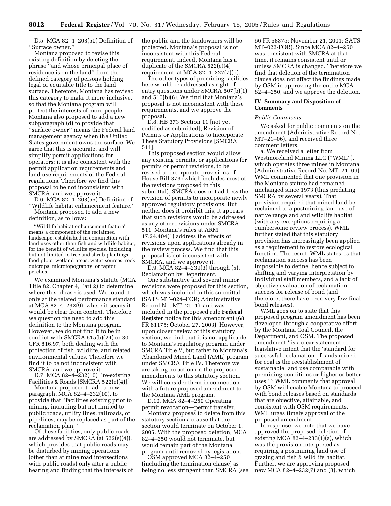D.5. MCA 82–4–203(50) Definition of ''Surface owner.''

Montana proposed to revise this existing definition by deleting the phrase ''and whose principal place of residence is on the land'' from the defined category of persons holding legal or equitable title to the land surface. Therefore, Montana has revised this category to make it more inclusive, so that the Montana program will protect the interests of more people. Montana also proposed to add a new subparagraph (d) to provide that ''surface owner'' means the Federal land management agency when the United States government owns the surface. We agree that this is accurate, and will simplify permit applications for operators; it is also consistent with the permit application requirements and land use requirements of the Federal regulations. Therefore we find this proposal to be not inconsistent with SMCRA, and we approve it.

D.6. MCA 82–4–203(55) Definition of ''Wildlife habitat enhancement feature.''

Montana proposed to add a new definition, as follows:

''Wildlife habitat enhancement feature'' means a component of the reclaimed landscape, established in conjunction with land uses other than fish and wildlife habitat, for the benefit of wildlife species, including but not limited to tree and shrub plantings, food plots, wetland areas, water sources, rock outcrops, microtopography, or raptor perches.

We examined Montana's statute (MCA Title 82, Chapter 4, Part 2) to determine where this phrase is used. We found it only at the related performance standard at MCA 82–4–232(9), where it seems it would be clear from context. Therefore we question the need to add this definition to the Montana program. However, we do not find it to be in conflict with SMCRA 515(b)(24) or 30 CFR 816.97, both dealing with the protection of fish, wildlife, and related environmental values. Therefore we find it to be not inconsistent with SMCRA, and we approve it.

D.7. MCA 82–4–232(10) Pre-existing Facilities & Roads [SMCRA 522(e)(4)].

Montana proposed to add a new paragraph, MCA 82–4–232(10), to provide that ''facilities existing prior to mining, including but not limited to public roads, utility lines, railroads, or pipelines, may be replaced as part of the reclamation plan.''

Of these facilities, only public roads are addressed by SMCRA (at 522(e)(4)), which provides that public roads may be disturbed by mining operations (other than at mine road intersections with public roads) only after a public hearing and finding that the interests of the public and the landowners will be protected. Montana's proposal is not inconsistent with this Federal requirement. Indeed, Montana has a duplicate of the SMCRA 522(e)(4) requirement, at MCA 82–4–227(7)(d).

The other types of premining facilities here would be addressed as right-ofentry questions under SMCRA 507(b)(1) and 510(b)(6). We find that Montana's proposal is not inconsistent with these requirements, and we approve the proposal.

D.8. HB 373 Section 11 [not yet codified as submitted], Revision of Permits or Applications to Incorporate These Statutory Provisions [SMCRA 511].

This proposed section would allow any existing permits, or applications for permits or permit revisions, to be revised to incorporate provisions of House Bill 373 (which includes most of the revisions proposed in this submittal). SMCRA does not address the revision of permits to incorporate newly approved regulatory provisions. But neither does it prohibit this; it appears that such revisions would be addressed as any other revisions under SMCRA 511. Montana's rules at ARM 17.24.404(1) address the effects of revisions upon applications already in the review process. We find that this proposal is not inconsistent with SMCRA, and we approve it.

D.9. MCA 82–4–239(3) through (5), Reclamation by Department.

One substantive and several minor revisions were proposed for this section, which was included in this submittal (SATS MT–024–FOR; Administrative Record No. MT–21–1), and was included in the proposed rule **Federal Register** notice for this amendment (68 FR 61175; October 27, 2003). However, upon closer review of this statutory section, we find that it is not applicable to Montana's regulatory program under SMCRA Title V, but rather to Montana's Abandoned Mined Land (AML) program under SMCRA Title IV. Therefore we are taking no action on the proposed amendments to this statutory section. We will consider them in connection with a future proposed amendment to the Montana AML program.

D.10. MCA 82–4–250 Operating permit revocation—permit transfer.

Montana proposes to delete from this statutory section a clause that the section would terminate on October 1, 2005. With the proposed deletion, MCA 82–4–250 would not terminate, but would remain part of the Montana program until removed by legislation.

OSM approved MCA 82–4–250 (including the termination clause) as being no less stringent than SMCRA (see

66 FR 58375; November 21, 2001; SATS MT–022-FOR). Since MCA 82–4–250 was consistent with SMCRA at that time, it remains consistent until or unless SMCRA is changed. Therefore we find that deletion of the termination clause does not affect the findings made by OSM in approving the entire MCA– 82–4–250, and we approve the deletion.

#### **IV. Summary and Disposition of Comments**

#### *Public Comments*

We asked for public comments on the amendment (Administrative Record No. MT–21–06), and received three comment letters.

a. We received a letter from Westmoreland Mining LLC (''WML''), which operates three mines in Montana (Administrative Record No. MT–21–09). WML commented that one provision in the Montana statute had remained unchanged since 1973 (thus predating SMCRA by several years). That provision required that mined land be reclaimed to a postmining land use of native rangeland and wildlife habitat (with any exceptions requiring a cumbersome review process). WML further stated that this statutory provision has increasingly been applied as a requirement to restore ecological function. The result, WML states, is that reclamation success has been impossible to define, hence subject to shifting and varying interpretation by individual staff members, and a lack of objective evaluation of reclamation success for release of bond (and therefore, there have been very few final bond releases).

WML goes on to state that this proposed program amendment has been developed through a cooperative effort by the Montana Coal Council, the Department, and OSM. The proposed amendment ''is a clear statement of legislative intent that the 'standard for successful reclamation of lands mined for coal is the reestablishment of sustainable land use comparable with premining conditions or higher or better uses.' '' WML comments that approval by OSM will enable Montana to proceed with bond releases based on standards that are objective, attainable, and consistent with OSM requirements. WML urges timely approval of the proposed amendment.

In response, we note that we have approved the proposed deletion of existing MCA  $82-4-233(1)(a)$ , which was the provision interpreted as requiring a postmining land use of grazing and fish & wildlife habitat. Further, we are approving proposed new MCA 82–4–232(7) and (8), which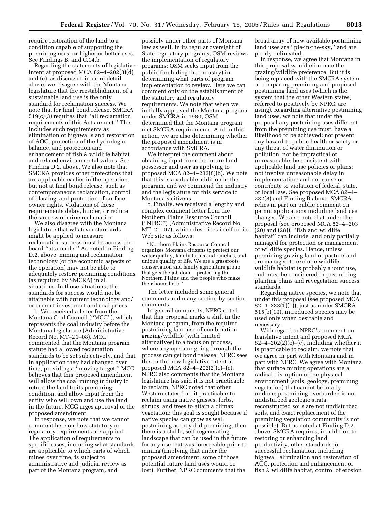require restoration of the land to a condition capable of supporting the premining uses, or higher or better uses. See Findings B. and C.14.b.

Regarding the statements of legislative intent at proposed MCA 82–4–202(3)(d) and (e), as discussed in more detail above, we disagree with the Montana legislature that the reestablishment of a sustainable land use is the only standard for reclamation success. We note that for final bond release, SMCRA 519(c)(3) requires that ''all reclamation requirements of this Act are met.'' This includes such requirements as elimination of highwalls and restoration of AOC, protection of the hydrologic balance, and protection and enhancement of fish & wildlife habitat and related environmental values. See Finding D.2. above. We also note that SMCRA provides other protections that are applicable earlier in the operation, but not at final bond release, such as contemporaneous reclamation, control of blasting, and protection of surface owner rights. Violations of these requirements delay, hinder, or reduce the success of mine reclamation.

We also disagree with the Montana legislature that whatever standards might be applied to measure reclamation success must be across-theboard ''attainable.'' As noted in Finding D.2. above, mining and reclamation technology (or the economic aspects of the operation) may not be able to adequately restore premining conditions (as required by SMCRA) in all situations. In those situations, the standards for success would not be attainable with current technology and/ or current investment and coal prices.

b. We received a letter from the Montana Coal Council (''MCC''), which represents the coal industry before the Montana legislature (Administrative Record No. MT–21–08). MCC commented that the Montana program statute had allowed reclamation standards to be set subjectively, and that in application they had changed over time, providing a ''moving target.'' MCC believes that this proposed amendment will allow the coal mining industry to return the land to its premining condition, and allow input from the entity who will own and use the land in the future. MCC urges approval of the proposed amendment.

In response, we note that we cannot comment here on how statutory or regulatory requirements are applied. The application of requirements to specific cases, including what standards are applicable to which parts of which mines over time, is subject to administrative and judicial review as part of the Montana program, and

possibly under other parts of Montana law as well. In its regular oversight of State regulatory programs, OSM reviews the implementation of regulatory programs; OSM seeks input from the public (including the industry) in determining what parts of program implementation to review. Here we can comment only on the establishment of the statutory and regulatory requirements. We note that when we initially approved the Montana program under SMCRA in 1980, OSM determined that the Montana program met SMCRA requirements. And in this action, we are also determining whether the proposed amendment is in accordance with SMCRA.

We interpret the comment about obtaining input from the future land possessor and user as applying to proposed MCA 82–4–232(8)(b). We note that this is a valuable addition to the program, and we commend the industry and the legislature for this service to Montana's citizens.

c. Finally, we received a lengthy and complex comment letter from the Northern Plains Resource Council (''NPRC'') (Administrative Record No. MT–21–07), which describes itself on its Web site as follows:

''Northern Plains Resource Council organizes Montana citizens to protect our water quality, family farms and ranches, and unique quality of life. We are a grassroots conservation and family agriculture group that gets the job done—protecting the Northern Plains and the people who make their home here.''

The letter included some general comments and many section-by-section comments.

In general comments, NPRC noted that this proposal marks a shift in the Montana program, from the required postmining land use of combination grazing/wildlife (with limited alternatives) to a focus on process, where any operator going through the process can get bond release. NPRC sees this in the new legislative intent at proposed MCA 82–4–202(2)(c)–(e). NPRC also comments that the Montana legislature has said it is not practicable to reclaim. NPRC noted that other Western states find it practicable to reclaim using native grasses, forbs, shrubs, and trees to attain a climax vegetation; this goal is sought because if native species can grow as well postmining as they did premining, then there is a stable, self-regenerating landscape that can be used in the future for any use that was foreseeable prior to mining (implying that under the proposed amendment, some of those potential future land uses would be lost). Further, NPRC comments that the

broad array of now-available postmining land uses are ''pie-in-the-sky,'' and are poorly delineated.

In response, we agree that Montana in this proposal would eliminate the grazing/wildlife preference. But it is being replaced with the SMCRA system of comparing premining and proposed postmining land uses (which is the system that the other Western states, referred to positively by NPRC, are using). Regarding alternative postmining land uses, we note that under the proposal any postmining uses different from the premining use must: have a likelihood to be achieved; not present any hazard to public health or safety or any threat of water diminution or pollution; not be impractical or unreasonable; be consistent with applicable land use policies or plans; not involve unreasonable delay in implementation; and not cause or contribute to violation of federal, state, or local law. See proposed MCA 82–4– 232(8) and Finding B above. SMCRA relies in part on public comment on permit applications including land use changes. We also note that under the proposal (see proposed MCA 82–4–203 (20) and (28)), ''fish and wildlife habitat'' can include land only partially managed for protection or management of wildlife species. Hence, unless premining grazing land or pastureland are managed to exclude wildlife, wildlife habitat is probably a joint use, and must be considered in postmining planting plans and revegetation success standards.

Regarding native species, we note that under this proposal (see proposed MCA 82–4–233(1)(b)), just as under SMCRA 515(b)(19), introduced species may be used only when desirable and necessary.

With regard to NPRC's comment on legislative intent and proposed MCA  $82-4-202(2)(c)$ –(e), including whether it is practicable to reclaim, we note that we agree in part with Montana and in part with NPRC. We agree with Montana that surface mining operations are a radical disruption of the physical environment (soils, geology, premining vegetation) that cannot be totally undone; postmining overburden is not undisturbed geologic strata, reconstructed soils are not undisturbed soils, and exact replacement of the premining vegetation community is not possible). But as noted at Finding D.2. above, SMCRA requires, in addition to restoring or enhancing land productivity, other standards for successful reclamation, including highwall elimination and restoration of AOC, protection and enhancement of fish & wildlife habitat, control of erosion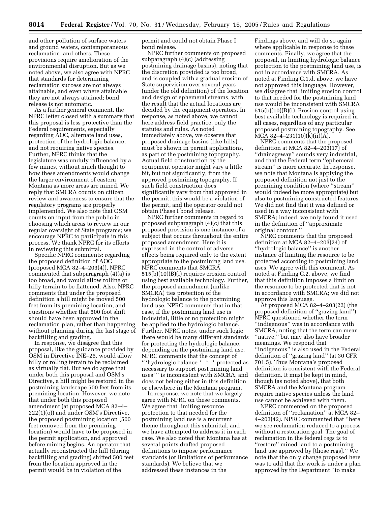and other pollution of surface waters and ground waters, contemporaneous reclamation, and others. These provisions require amelioration of the environmental disruption. But as we noted above, we also agree with NPRC that standards for determining reclamation success are not always attainable, and even where attainable they are not always attained; bond release is not automatic.

As a further general comment, the NPRC letter closed with a summary that this proposal is less protective than the Federal requirements, especially regarding AOC, alternate land uses, protection of the hydrologic balance, and not requiring native species. Further, NPRC thinks that the legislature was unduly influenced by a few mines, without much thought to how these amendments would change the larger environment of eastern Montana as more areas are mined. We reply that SMCRA counts on citizen review and awareness to ensure that the regulatory programs are properly implemented. We also note that OSM counts on input from the public in choosing which areas to review in our regular oversight of State programs; we encourage NPRC to participate in this process. We thank NPRC for its efforts in reviewing this submittal.

Specific NPRC comments: regarding the proposed definition of AOC (proposed MCA 82–4–203(4)), NPRC commented that subparagraph (4)(a) is too broad, and would allow rolling or hilly terrain to be flattened. Also, NPRC comments that under the proposed definition a hill might be moved 500 feet from its premining location, and questions whether that 500 foot shift should have been approved in the reclamation plan, rather than happening without planning during the last stage of backfilling and grading.

In response, we disagree that this proposal, like the guidance provided by OSM in Directive INE–26, would allow hilly or rolling terrain to be reclaimed as virtually flat. But we do agree that under both this proposal and OSM's Directive, a hill might be restored in the postmining landscape 500 feet from its premining location. However, we note that under both this proposed amendment (at proposed MCA 82–4– 222(1)(o)) and under OSM's Directive, the proposed postmining location (500 feet removed from the premining location) would have to be proposed in the permit application, and approved before mining begins. An operator that actually reconstructed the hill (during backfilling and grading) shifted 500 feet from the location approved in the permit would be in violation of the

permit and could not obtain Phase I bond release.

NPRC further comments on proposed subparagraph (4)(c) (addressing postmining drainage basins), noting that the discretion provided is too broad, and is coupled with a gradual erosion of State supervision over several years (under the old definition) of the location and design of ephemeral streams, with the result that the actual locations are decided by the equipment operators. In response, as noted above, we cannot here address field practice, only the statutes and rules. As noted immediately above, we observe that proposed drainage basins (like hills) must be shown in permit applications, as part of the postmining topography. Actual field construction by the equipment operator might vary a little bit, but not significantly, from the approved postmining topography. If such field construction does significantly vary from that approved in the permit, this would be a violation of the permit, and the operator could not obtain Phase I bond release.

NPRC further comments in regard to proposed subparagraph (4)(c) that this proposed provision is one instance of a subject that occurs throughout the entire proposed amendment. Here it is expressed in the control of adverse effects being required only to the extent appropriate to the postmining land use. NPRC comments that SMCRA 515(b)(10)(B)(i) requires erosion control using best available technology. Further, the proposed amendment (unlike SMCRA) ties protection of the hydrologic balance to the postmining land use. NPRC comments that in that case, if the postmining land use is industrial, little or no protection might be applied to the hydrologic balance. Further, NPRC notes, under such logic there would be many different standards for protecting the hydrologic balance, depending on the postmining land use. NPRC comments that the concept of '' 'hydrologic balance \* \* \* protected as necessary to support post mining land uses' '' is inconsistent with SMCRA, and does not belong either in this definition or elsewhere in the Montana program.

In response, we note that we largely agree with NPRC on these comments. We agree that limiting resource protection to that needed for the postmining land use is a recurrent theme throughout this submittal, and we have attempted to address it in each case. We also noted that Montana has at several points drafted proposed definitions to impose performance standards (or limitations of performance standards). We believe that we addressed these instances in the

Findings above, and will do so again where applicable in response to these comments. Finally, we agree that the proposal, in limiting hydrologic balance protection to the postmining land use, is not in accordance with SMCRA. As noted at Finding C.1.d. above, we have not approved this language. However, we disagree that limiting erosion control to that needed for the postmining land use would be inconsistent with SMCRA 515(b)(10)(B)(i). Erosion control using best available technology is required in all cases, regardless of any particular proposed postmining topography. See MCA 82–4–231(10)(k)(ii)(A).

NPRC comments that the proposed definition at MCA 82–4–203(17) of ''drainageway'' sounds very industrial, and that the Federal term ''ephemeral stream'' is more accurate. In response, we note that Montana is applying the proposed definition not just to the premining condition (where ''stream'' would indeed be more appropriate) but also to postmining constructed features. We did not find that it was defined or used in a way inconsistent with SMCRA; indeed, we only found it used in the definition of ''approximate original contour.''

NPRC comments that the proposed definition at MCA 82–4–203(24) of ''hydrologic balance'' is another instance of limiting the resource to be protected according to postmining land uses. We agree with this comment. As noted at Finding C.2. above, we find that this definition imposes a limit on the resource to be protected that is not in accordance with SMCRA; we did not approve this language.

At proposed  $\overline{MCA}$  82–4–203(22) (the proposed definition of ''grazing land''), NPRC questioned whether the term ''indigenous'' was in accordance with SMCRA, noting that the term can mean ''native,'' but may also have broader meanings. We respond that ''indigenous'' is also used in the Federal definition of ''grazing land'' (at 30 CFR 701.5). Thus Montana's proposed definition is consistent with the Federal definition. It must be kept in mind, though (as noted above), that both SMCRA and the Montana program require native species unless the land use cannot be achieved with them.

NPRC commented on the proposed definition of ''reclamation'' at MCA 82– 4–203(42). NPRC commented that ''here we see reclamation reduced to a process without a restoration goal. The goal of reclamation in the federal regs is to ''restore'' mined land to a postmining land use approved by [those regs].'' We note that the only change proposed here was to add that the work is under a plan approved by the Department ''to make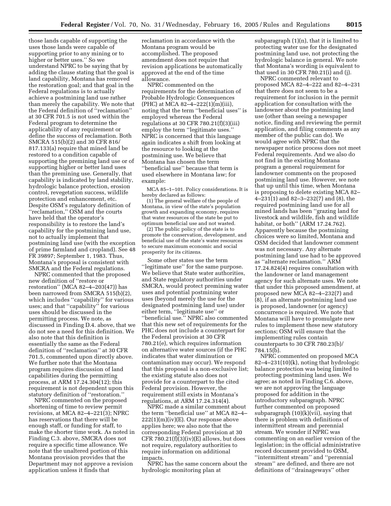those lands capable of supporting the uses those lands were capable of supporting prior to any mining or to higher or better uses.'' So we understand NPRC to be saying that by adding the clause stating that the goal is land capability, Montana has removed the restoration goal; and that goal in the Federal regulations is to actually achieve a postmining land use rather than merely the capability. We note that the Federal definition of ''reclamation'' at 30 CFR 701.5 is not used within the Federal program to determine the applicability of any requirement or define the success of reclamation. Both SMCRA 515(b)(2) and 30 CFR 816/ 817.133(a) require that mined land be restored to a condition capable of supporting the premining land use or of supporting higher or better land uses than the premining use. Generally, that capability is indicated by land stability, hydrologic balance protection, erosion control, revegetation success, wildlife protection and enhancement, etc. Despite OSM's regulatory definition of ''reclamation,'' OSM and the courts have held that the operator's responsibility is to restore the land's capability for the postmining land use, not to actually implement that postmining land use (with the exception of prime farmland and cropland). See 48 FR 39897; September 1, 1983. Thus, Montana's proposal is consistent with SMCRA and the Federal regulations.

NPRC commented that the proposed new definition of ''restore or restoration'' (MCA 82–4–203(47)) has been narrowed from SMCRA 515(b)(2), which includes ''capability'' for various uses; and that "capability" for various uses should be discussed in the permitting process. We note, as discussed in Finding D.4. above, that we do not see a need for this definition. We also note that this definition is essentially the same as the Federal definition of ''reclamation'' at 30 CFR 701.5, commented upon directly above. We further note that the Montana program requires discussion of land capabilities during the permitting process, at ARM 17.24.304(12); this requirement is not dependent upon this statutory definition of ''restoration.''

NPRC commented on the proposed shortening of time to review permit revisions, at MCA 82–4–221(3); NPRC has reservations that there will be enough staff, or funding for staff, to make the shorter time work. As noted in Finding C.3. above, SMCRA does not require a specific time allowance. We note that the unaltered portion of this Montana provision provides that the Department may not approve a revision application unless it finds that

reclamation in accordance with the Montana program would be accomplished. The proposed amendment does not require that revision applications be automatically approved at the end of the time allowance.

NPRC commented on the requirements for the determination of Probable Hydrologic Consequences (PHC) at MCA  $82-4-222(1)(m)(iii)$ , noting that the term ''beneficial uses'' is employed whereas the Federal regulations at 30 CFR 780.21(f)(3)(iii) employ the term ''legitimate uses.'' NPRC is concerned that this language again indicates a shift from looking at the resource to looking at the postmining use. We believe that Montana has chosen the term ''beneficial use'' because that term is used elsewhere in Montana law; for example:

MCA 85–1–101. Policy considerations. It is hereby declared as follows:

(1) The general welfare of the people of Montana, in view of the state's population growth and expanding economy, requires that water resources of the state be put to optimum beneficial use and not wasted.

(2) The public policy of the state is to promote the conservation, development, and beneficial use of the state's water resources to secure maximum economic and social prosperity for its citizens.

Some other states use the term ''legitimate use'' for the same purpose. We believe that State water authorities, and State regulatory authorities under SMCRA, would protect premining water uses and potential postmining water uses (beyond merely the use for the designated postmining land use) under either term, ''legitimate use'' or ''beneficial use.'' NPRC also commented that this new set of requirements for the PHC does not include a counterpart for the Federal provision at 30 CFR 780.21(e), which requires information on alternative water sources (if the PHC indicates that water diminution or contamination may occur). We respond that this proposal is a non-exclusive list; the existing statute also does not provide for a counterpart to the cited Federal provision. However, the requirement still exists in Montana's regulations, at ARM 17.24.314(4).

NPRC made a similar comment about the term ''beneficial use'' at MCA 82–4– 222(1)(m)(iv)(E). Our response above applies here; we also note that the corresponding Federal provision at 30 CFR  $780.21(f)(3)(iv)(E)$  allows, but does not require, regulatory authorities to require information on additional impacts.

NPRC has the same concern about the hydrologic monitoring plan at

subparagraph (1)(n), that it is limited to protecting water use for the designated postmining land use, not protecting the hydrologic balance in general. We note that Montana's wording is equivalent to that used in 30 CFR 780.21(i) and (j).

NPRC commented relevant to proposed MCA 82–4–222 and 82–4–231 that there does not seem to be a requirement for inclusion in the permit application for consultation with the landowner about the postmining land use (other than seeing a newspaper notice, finding and reviewing the permit application, and filing comments as any member of the public can do). We would agree with NPRC that the newspaper notice process does not meet Federal requirements. And we also do not find in the existing Montana program a general requirement for landowner comments on the proposed postmining land use. However, we note that up until this time, when Montana is proposing to delete existing MCA 82– 4–231(1) and 82–3–232(7) and (8), the required postmining land use for all mined lands has been ''grazing land for livestock and wildlife, fish and wildlife habitat, or both'' (ARM 17.24.762). Apparently because the postmining choices were so limited, Montana and OSM decided that landowner comment was not necessary. Any alternate postmining land use had to be approved as ''alternate reclamation.'' ARM 17.24.824(4) requires consultation with the landowner or land management agency for such alternate uses. We note that under this proposed amendment, at proposed new MCA 82–4–232(7) and (8), if an alternate postmining land use is proposed, landowner (or agency) concurrence is required. We note that Montana will have to promulgate new rules to implement these new statutory sections; OSM will ensure that the implementing rules contain counterparts to 30 CFR 780.23(b)/ 784.15(b).

NPRC commented on proposed MCA  $82-4-231(10)(k)$ , noting that hydrologic balance protection was being limited to protecting postmining land uses. We agree; as noted in Finding C.6. above, we are not approving the language proposed for addition in the introductory subparagraph. NPRC further commented on proposed subparagraph  $(10)(k)(vii)$ , saying that there is problem with definitions of intermittent stream and perennial stream. We wonder if NPRC was commenting on an earlier version of the legislation; in the official administrative record document provided to OSM, ''intermittent stream'' and ''perennial stream'' are defined, and there are not definitions of ''drainageways'' other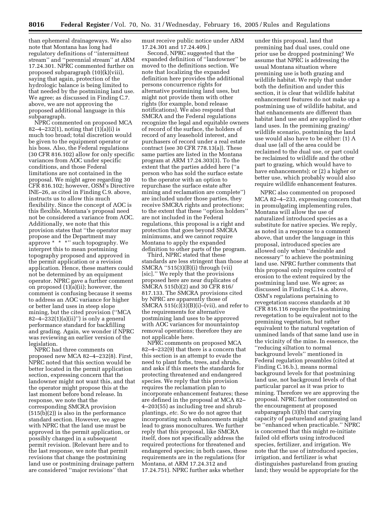than ephemeral drainageways. We also note that Montana has long had regulatory definitions of ''intermittent stream'' and ''perennial stream'' at ARM 17.24.301. NPRC commented further on proposed subparagraph (10)(k)(viii), saying that again, protection of the hydrologic balance is being limited to that needed by the postmining land use. We agree; as discussed in Finding C.7. above, we are not approving the proposed additional language in this subparagraph.

NPRC commented on proposed MCA 82–4–232(1), noting that (1)(a)(i) is much too broad; total discretion would be given to the equipment operator or his boss. Also, the Federal regulations (30 CFR 816.102) allow for only specific variances from AOC under specific conditions, and those Federal limitations are not contained in the proposal. We might agree regarding 30 CFR 816.102; however, OSM's Directive INE–26, as cited in Finding C.9. above, instructs us to allow this much flexibility. Since the concept of AOC is this flexible, Montana's proposal need not be considered a variance from AOC. Additionally, we note that this provision states that ''the operator may propose and the Department may approve \* \* \*'' such topography. We interpret this to mean postmining topography proposed and approved in the permit application or a revision application. Hence, these matters could not be determined by an equipment operator. NPRC gave a further comment on proposed (1)(a)(ii); however, the comment is confusing because it seems to address an AOC variance for higher or better land uses in steep slope mining, but the cited provision (''MCA  $82-4-232(1)(a)(ii)$ ") is only a general performance standard for backfilling and grading. Again, we wonder if NPRC was reviewing an earlier version of the legislation.

NPRC had three comments on proposed new MCA 82–4–232(8). First, NPRC noted that this section would be better located in the permit application section, expressing concern that the landowner might not want this, and that the operator might propose this at the last moment before bond release. In response, we note that the corresponding SMCRA provision (515(b)(2)) is also in the performance standard section. However, we agree with NPRC that the land use must be approved in the permit application, or possibly changed in a subsequent permit revision. [Relevant here and to the last response, we note that permit revisions that change the postmining land use or postmining drainage pattern are considered ''major revisions'' that

must receive public notice under ARM 17.24.301 and 17.24.409.]

Second, NPRC suggested that the expanded definition of ''landowner'' be moved to the definitions section. We note that localizing the expanded definition here provides the additional persons concurrence rights for alternative postmining land uses, but might not provide them with other rights (for example, bond release notifications). We also respond that SMCRA and the Federal regulations recognize the legal and equitable owners of record of the surface, the holders of record of any leasehold interest, and purchasers of record under a real estate contract (see 30 CFR 778.13(a)). These same parties are listed in the Montana program at ARM 17.24.303(3). To the extent that the parties added here (''a person who has sold the surface estate to the operator with an option to repurchase the surface estate after mining and reclamation are complete'') are included under those parties, they receive SMCRA rights and protections; to the extent that these ''option holders'' are not included in the Federal regulations, this proposal is a right and protection that goes beyond SMCRA minimums, and we cannot require Montana to apply the expanded definition to other parts of the program.

Third, NPRC stated that these standards are less stringent than those at SMCRA ''515(3)(B)(i) through (vii) [sic].'' We reply that the provisions proposed here are near duplicates of SMCRA 515(b)(2) and 30 CFR 816/ 817.133. The SMCRA provisions cited by NPRC are apparently those of SMCRA  $515(c)(3)(B)(i)$ –(vii), and refer to the requirements for alternative postmining land uses to be approved with AOC variances for mountaintop removal operations; therefore they are not applicable here.

NPRC comments on proposed MCA 82–4–232(9) that there is a concern that this section is an attempt to evade the need to plant forbs, trees, and shrubs, and asks if this meets the standards for protecting threatened and endangered species. We reply that this provision requires the reclamation plan to incorporate enhancement features; these are defined in the proposal at MCA 82– 4–203(55) as including tree and shrub plantings, *etc.* So we do not agree that incorporating such enhancements might lead to grass monocultures. We further reply that this proposal, like SMCRA itself, does not specifically address the required protections for threatened and endangered species; in both cases, these requirements are in the regulations (for Montana, at ARM 17.24.312 and 17.24.751). NPRC further asks whether

under this proposal, land that premining had dual uses, could one prior use be dropped postmining? We assume that NPRC is addressing the usual Montana situation where premining use is both grazing and wildlife habitat. We reply that under both the definition and under this section, it is clear that wildlife habitat enhancement features do not make up a postmining use of wildlife habitat, and that enhancements are different than habitat land use and are applied to other land uses. In the premining grazing/ wildlife scenario, postmining the land use would also have to be either: (1) A dual use (all of the area could be reclaimed to the dual use, or part could be reclaimed to wildlife and the other part to grazing, which would have to have enhancements); or (2) a higher or better use, which probably would also require wildlife enhancement features.

NPRC also commented on proposed MCA 82–4–233, expressing concern that in promulgating implementing rules, Montana will allow the use of naturalized introduced species as a substitute for native species. We reply, as noted in a response to a comment above, that under the language in this proposal, introduced species are allowed only when ''desirable and necessary'' to achieve the postmining land use. NPRC further comments that this proposal only requires control of erosion to the extent required by the postmining land use. We agree; as discussed in Finding C.14.a. above, OSM's regulations pertaining to revegetation success standards at 30 CFR 816.116 require the postmining revegetation to be equivalent not to the premining vegetation, but rather equivalent to the natural vegetation of unmined lands of that same land use in the vicinity of the mine. In essence, the ''reducing siltation to normal background levels'' mentioned in Federal regulation preambles (cited at Finding C.16.b.), means normal background levels for that postmining land use, not background levels of that particular parcel as it was prior to mining. Therefore we are approving the proposal. NPRC further commented on the encouragement at proposed subparagraph (3)(b) that carrying capacity of pastureland and grazing land be ''enhanced when practicable.'' NPRC is concerned that this might re-initiate failed old efforts using introduced species, fertilizer, and irrigation. We note that the use of introduced species, irrigation, and fertilizer is what distinguishes pastureland from grazing land; they would be appropriate for the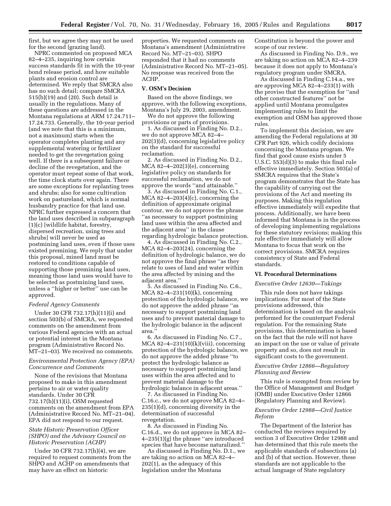first, but we agree they may not be used for the second (grazing land).

NPRC commented on proposed MCA 82–4–235, inquiring how certain success standards fit in with the 10-year bond release period, and how suitable plants and erosion control are determined. We reply that SMCRA also has no such detail; compare SMCRA 515(b)(19) and (20). Such detail is usually in the regulations. Many of these questions are addressed in the Montana regulations at ARM 17.24.711– 17.24.733. Generally, the 10-year period (and we note that this is a minimum, not a maximum) starts when the operator completes planting and any supplemental watering or fertilizer needed to get the revegetation going well. If there is a subsequent failure or decline of the revegetation, and the operator must repeat some of that work, the time clock starts over again. There are some exceptions for replanting trees and shrubs; also for some cultivation work on pastureland, which is normal husbandry practice for that land use. NPRC further expressed a concern that the land uses described in subparagraph (1)(c) [wildlife habitat, forestry, dispersed recreation, using trees and shrubs] will never be used as postmining land uses, even if those uses existed premining. We reply that under this proposal, mined land must be restored to conditions capable of supporting those premining land uses, meaning those land uses would have to be selected as postmining land uses, unless a ''higher or better'' use can be approved.

# *Federal Agency Comments*

Under 30 CFR 732.17(h)(11)(i) and section 503(b) of SMCRA, we requested comments on the amendment from various Federal agencies with an actual or potential interest in the Montana program (Administrative Record No. MT–21–03). We received no comments.

# *Environmental Protection Agency (EPA) Concurrence and Comments*

None of the revisions that Montana proposed to make in this amendment pertains to air or water quality standards. Under 30 CFR 732.17(h)(11)(i), OSM requested comments on the amendment from EPA (Administrative Record No. MT–21–04). EPA did not respond to our request.

# *State Historic Preservation Officer (SHPO) and the Advisory Council on Historic Preservation (ACHP)*

Under 30 CFR 732.17(h)(4), we are required to request comments from the SHPO and ACHP on amendments that may have an effect on historic

properties. We requested comments on Montana's amendment (Administrative Record No. MT–21–03). SHPO responded that it had no comments (Administrative Record No. MT–21–05). No response was received from the ACHP.

#### **V. OSM's Decision**

Based on the above findings, we approve, with the following exceptions, Montana's July 29, 2003, amendment.

We do not approve the following provisions or parts of provisions.

1. As discussed in Finding No. D.2., we do not approve MCA 82–4– 202(3)(d), concerning legislative policy on the standard for successful reclamation.

2. As discussed in Finding No. D.2., MCA 82–4–202(3)(e), concerning legislative policy on standards for successful reclamation, we do not approve the words ''and attainable.''

3. As discussed in Finding No. C.1., MCA  $82-4-203(4)(c)$ , concerning the definition of approximate original contour, we do not approve the phrase ''as necessary to support postmining land uses within the area affected and the adjacent area'' in the clause regarding hydrologic balance protection.

4. As discussed in Finding No. C.2., MCA 82–4–203(24), concerning the definition of hydrologic balance, we do not approve the final phrase ''as they relate to uses of land and water within the area affected by mining and the adjacent area.''

5. As discussed in Finding No. C.6., MCA 82–4–231(10)(k), concerning protection of the hydrologic balance, we do not approve the added phrase ''as necessary to support postmining land uses and to prevent material damage to the hydrologic balance in the adjacent area.''

6. As discussed in Finding No. C.7., MCA  $82-4-231(10)(k)(viii)$ , concerning protection of the hydrologic balance, we do not approve the added phrase ''to protect the hydrologic balance as necessary to support postmining land uses within the area affected and to prevent material damage to the hydrologic balance in adjacent areas.''

7. As discussed in Finding No. C.16.c., we do not approve MCA 82–4– 235(1)(d), concerning diversity in the determination of successful revegetation.

8. As discussed in Finding No. C.16.d., we do not approve in MCA 82– 4–235(1)(g) the phrase ''are introduced species that have become naturalized.''

As discussed in Finding No. D.1., we are taking no action on MCA 82–4– 202(1), as the adequacy of this legislation under the Montana

Constitution is beyond the power and scope of our review.

As discussed in Finding No. D.9., we are taking no action on MCA 82–4–239 because it does not apply to Montana's regulatory program under SMCRA.

As discussed in Finding C.14.a., we are approving MCA 82–4–233(1) with the proviso that the exemption for ''and other constructed features'' not be applied until Montana promulgates implementing rules to limit the exemption and OSM has approved those rules.

To implement this decision, we are amending the Federal regulations at 30 CFR Part 926, which codify decisions concerning the Montana program. We find that good cause exists under 5 U.S.C. 553(d)(3) to make this final rule effective immediately. Section 503(a) of SMCRA requires that the State's program demonstrates that the State has the capability of carrying out the provisions of the Act and meeting its purposes. Making this regulation effective immediately will expedite that process. Additionally, we have been informed that Montana is in the process of developing implementing regulations for these statutory revisions; making this rule effective immediately will allow Montana to focus that work on the correct provisions. SMCRA requires consistency of State and Federal standards.

#### **VI. Procedural Determinations**

#### *Executive Order 12630—Takings*

This rule does not have takings implications. For most of the State provisions addressed, this determination is based on the analysis performed for the counterpart Federal regulation. For the remaining State provisions, this determination is based on the fact that the rule will not have an impact on the use or value of private property and so, does not result in significant costs to the government.

#### *Executive Order 12866—Regulatory Planning and Review*

This rule is exempted from review by the Office of Management and Budget (OMB) under Executive Order 12866 (Regulatory Planning and Review).

# *Executive Order 12988—Civil Justice Reform*

The Department of the Interior has conducted the reviews required by section 3 of Executive Order 12988 and has determined that this rule meets the applicable standards of subsections (a) and (b) of that section. However, these standards are not applicable to the actual language of State regulatory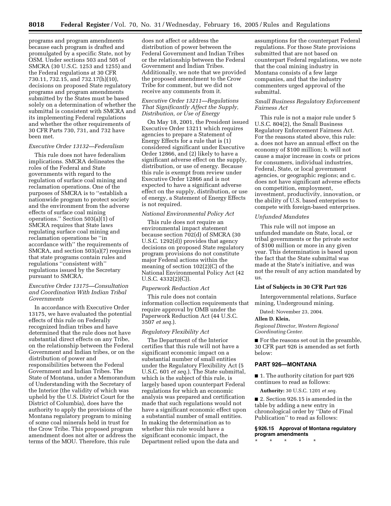programs and program amendments because each program is drafted and promulgated by a specific State, not by OSM. Under sections 503 and 505 of SMCRA (30 U.S.C. 1253 and 1255) and the Federal regulations at 30 CFR 730.11, 732.15, and 732.17(h)(10), decisions on proposed State regulatory programs and program amendments submitted by the States must be based solely on a determination of whether the submittal is consistent with SMCRA and its implementing Federal regulations and whether the other requirements of 30 CFR Parts 730, 731, and 732 have been met.

# *Executive Order 13132—Federalism*

This rule does not have federalism implications. SMCRA delineates the roles of the Federal and State governments with regard to the regulation of surface coal mining and reclamation operations. One of the purposes of SMCRA is to ''establish a nationwide program to protect society and the environment from the adverse effects of surface coal mining operations.'' Section 503(a)(1) of SMCRA requires that State laws regulating surface coal mining and reclamation operations be ''in accordance with'' the requirements of SMCRA, and section 503(a)(7) requires that state programs contain rules and regulations ''consistent with'' regulations issued by the Secretary pursuant to SMCRA.

# *Executive Order 13175—Consultation and Coordination With Indian Tribal Governments*

In accordance with Executive Order 13175, we have evaluated the potential effects of this rule on Federally recognized Indian tribes and have determined that the rule does not have substantial direct effects on any Tribe, on the relationship between the Federal Government and Indian tribes, or on the distribution of power and responsibilities between the Federal Government and Indian Tribes. The State of Montana, under a Memorandum of Understanding with the Secretary of the Interior (the validity of which was upheld by the U.S. District Court for the District of Columbia), does have the authority to apply the provisions of the Montana regulatory program to mining of some coal minerals held in trust for the Crow Tribe. This proposed program amendment does not alter or address the terms of the MOU. Therefore, this rule

does not affect or address the distribution of power between the Federal Government and Indian Tribes or the relationship between the Federal Government and Indian Tribes. Additionally, we note that we provided the proposed amendment to the Crow Tribe for comment, but we did not receive any comments from it.

# *Executive Order 13211—Regulations That Significantly Affect the Supply, Distribution, or Use of Energy*

On May 18, 2001, the President issued Executive Order 13211 which requires agencies to prepare a Statement of Energy Effects for a rule that is (1) considered significant under Executive Order 12866, and (2) likely to have a significant adverse effect on the supply, distribution, or use of energy. Because this rule is exempt from review under Executive Order 12866 and is not expected to have a significant adverse effect on the supply, distribution, or use of energy, a Statement of Energy Effects is not required.

#### *National Environmental Policy Act*

This rule does not require an environmental impact statement because section 702(d) of SMCRA (30 U.S.C. 1292(d)) provides that agency decisions on proposed State regulatory program provisions do not constitute major Federal actions within the meaning of section 102(2)(C) of the National Environmental Policy Act (42 U.S.C. 4332(2)(C)).

#### *Paperwork Reduction Act*

This rule does not contain information collection requirements that require approval by OMB under the Paperwork Reduction Act (44 U.S.C. 3507 *et seq.*).

#### *Regulatory Flexibility Act*

The Department of the Interior certifies that this rule will not have a significant economic impact on a substantial number of small entities under the Regulatory Flexibility Act (5 U.S.C. 601 *et seq.*). The State submittal, which is the subject of this rule, is largely based upon counterpart Federal regulations for which an economic analysis was prepared and certification made that such regulations would not have a significant economic effect upon a substantial number of small entities. In making the determination as to whether this rule would have a significant economic impact, the Department relied upon the data and

assumptions for the counterpart Federal regulations. For those State provisions submitted that are not based on counterpart Federal regulations, we note that the coal mining industry in Montana consists of a few large companies, and that the industry commenters urged approval of the submittal.

# *Small Business Regulatory Enforcement Fairness Act*

This rule is not a major rule under 5 U.S.C. 804(2), the Small Business Regulatory Enforcement Fairness Act. For the reasons stated above, this rule: a. does not have an annual effect on the economy of \$100 million; b. will not cause a major increase in costs or prices for consumers, individual industries, Federal, State, or local government agencies, or geographic regions; and c. does not have significant adverse effects on competition, employment, investment, productivity, innovation, or the ability of U.S. based enterprises to compete with foreign-based enterprises.

#### *Unfunded Mandates*

This rule will not impose an unfunded mandate on State, local, or tribal governments or the private sector of \$100 million or more in any given year. This determination is based upon the fact that the State submittal was made at the State's initiative, and was not the result of any action mandated by us.

#### **List of Subjects in 30 CFR Part 926**

Intergovernmental relations, Surface mining, Underground mining.

Dated: November 23, 2004.

# **Allen D. Klein,**

*Regional Director, Western Regional Coordinating Center.*

■ For the reasons set out in the preamble, 30 CFR part 926 is amended as set forth below:

#### **PART 926—MONTANA**

■ 1. The authority citation for part 926 continues to read as follows:

**Authority:** 30 U.S.C. 1201 *et seq.*

■ 2. Section 926.15 is amended in the table by adding a new entry in chronological order by ''Date of Final Publication'' to read as follows:

#### **§ 926.15 Approval of Montana regulatory program amendments**

\* \* \* \* \*